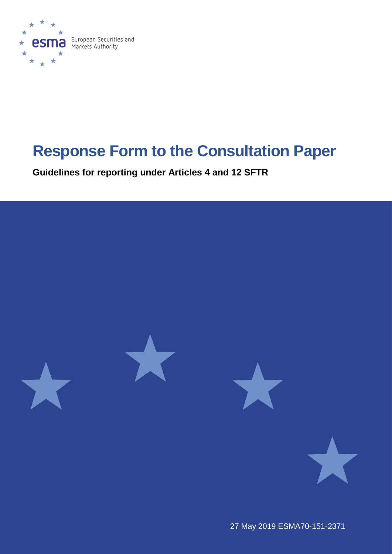

# **Response Form to the Consultation Paper**

**Guidelines for reporting under Articles 4 and 12 SFTR**



27 May 2019 ESMA70-151-2371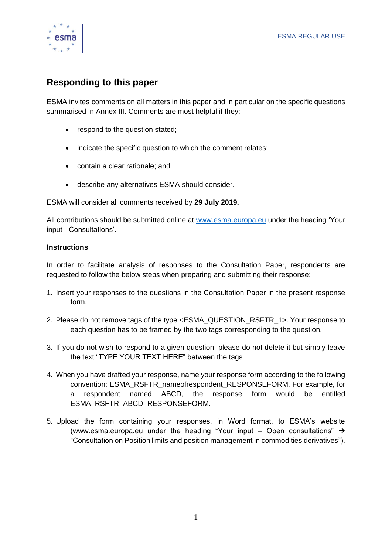

## **Responding to this paper**

ESMA invites comments on all matters in this paper and in particular on the specific questions summarised in Annex III. Comments are most helpful if they:

- respond to the question stated;
- indicate the specific question to which the comment relates;
- contain a clear rationale; and
- describe any alternatives ESMA should consider.

ESMA will consider all comments received by **29 July 2019.** 

All contributions should be submitted online at [www.esma.europa.eu](http://www.esma.europa.eu/) under the heading 'Your input - Consultations'.

## **Instructions**

In order to facilitate analysis of responses to the Consultation Paper, respondents are requested to follow the below steps when preparing and submitting their response:

- 1. Insert your responses to the questions in the Consultation Paper in the present response form.
- 2. Please do not remove tags of the type <ESMA\_QUESTION\_RSFTR\_1>. Your response to each question has to be framed by the two tags corresponding to the question.
- 3. If you do not wish to respond to a given question, please do not delete it but simply leave the text "TYPE YOUR TEXT HERE" between the tags.
- 4. When you have drafted your response, name your response form according to the following convention: ESMA\_RSFTR\_nameofrespondent\_RESPONSEFORM. For example, for a respondent named ABCD, the response form would be entitled ESMA\_RSFTR\_ABCD\_RESPONSEFORM.
- 5. Upload the form containing your responses, in Word format, to ESMA's website [\(www.esma.europa.eu](http://www.esma.europa.eu/) under the heading "Your input – Open consultations"  $\rightarrow$ "Consultation on Position limits and position management in commodities derivatives").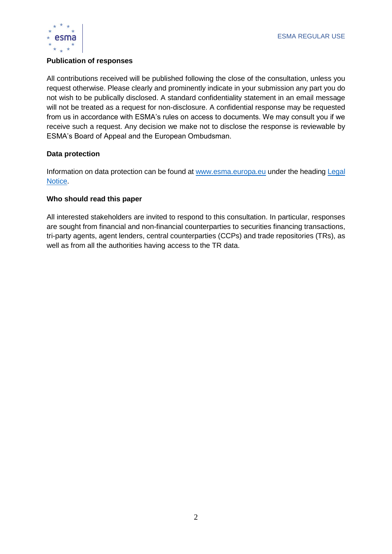

## **Publication of responses**

All contributions received will be published following the close of the consultation, unless you request otherwise. Please clearly and prominently indicate in your submission any part you do not wish to be publically disclosed. A standard confidentiality statement in an email message will not be treated as a request for non-disclosure. A confidential response may be requested from us in accordance with ESMA's rules on access to documents. We may consult you if we receive such a request. Any decision we make not to disclose the response is reviewable by ESMA's Board of Appeal and the European Ombudsman.

## **Data protection**

Information on data protection can be found at [www.esma.europa.eu](http://www.esma.europa.eu/) under the heading [Legal](http://www.esma.europa.eu/legal-notice)  [Notice.](http://www.esma.europa.eu/legal-notice)

## **Who should read this paper**

All interested stakeholders are invited to respond to this consultation. In particular, responses are sought from financial and non-financial counterparties to securities financing transactions, tri-party agents, agent lenders, central counterparties (CCPs) and trade repositories (TRs), as well as from all the authorities having access to the TR data.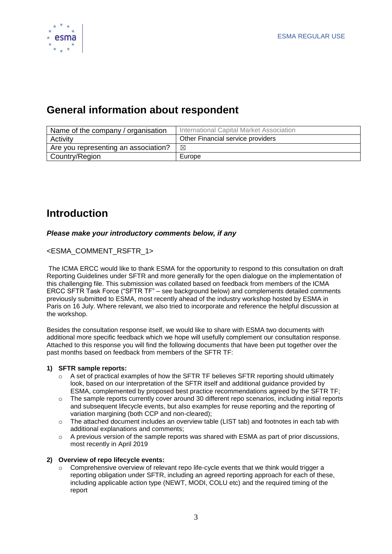

## **General information about respondent**

| Name of the company / organisation   | International Capital Market Association |
|--------------------------------------|------------------------------------------|
| Activity                             | Other Financial service providers        |
| Are you representing an association? | ⊠                                        |
| Country/Region                       | Europe                                   |

## **Introduction**

## *Please make your introductory comments below, if any*

## <ESMA\_COMMENT\_RSFTR\_1>

The ICMA ERCC would like to thank ESMA for the opportunity to respond to this consultation on draft Reporting Guidelines under SFTR and more generally for the open dialogue on the implementation of this challenging file. This submission was collated based on feedback from members of the ICMA ERCC SFTR Task Force ("SFTR TF" – see background below) and complements detailed comments previously submitted to ESMA, most recently ahead of the industry workshop hosted by ESMA in Paris on 16 July. Where relevant, we also tried to incorporate and reference the helpful discussion at the workshop.

Besides the consultation response itself, we would like to share with ESMA two documents with additional more specific feedback which we hope will usefully complement our consultation response. Attached to this response you will find the following documents that have been put together over the past months based on feedback from members of the SFTR TF:

#### **1) SFTR sample reports:**

- $\circ$  A set of practical examples of how the SFTR TF believes SFTR reporting should ultimately look, based on our interpretation of the SFTR itself and additional guidance provided by ESMA, complemented by proposed best practice recommendations agreed by the SFTR TF;
- $\circ$  The sample reports currently cover around 30 different repo scenarios, including initial reports and subsequent lifecycle events, but also examples for reuse reporting and the reporting of variation margining (both CCP and non-cleared);
- o The attached document includes an overview table (LIST tab) and footnotes in each tab with additional explanations and comments;
- $\circ$  A previous version of the sample reports was shared with ESMA as part of prior discussions, most recently in April 2019

#### **2) Overview of repo lifecycle events:**

Comprehensive overview of relevant repo life-cycle events that we think would trigger a reporting obligation under SFTR, including an agreed reporting approach for each of these, including applicable action type (NEWT, MODI, COLU etc) and the required timing of the report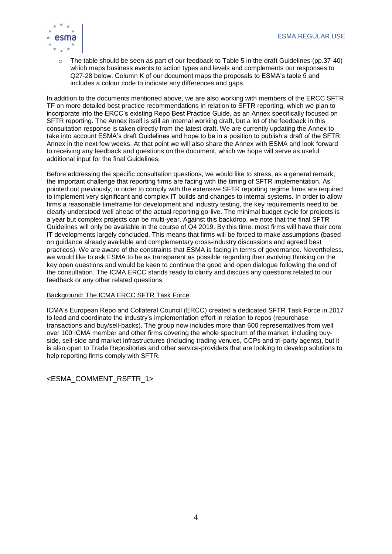

The table should be seen as part of our feedback to Table 5 in the draft Guidelines (pp.37-40) which maps business events to action types and levels and complements our responses to Q27-28 below. Column K of our document maps the proposals to ESMA's table 5 and includes a colour code to indicate any differences and gaps.

In addition to the documents mentioned above, we are also working with members of the ERCC SFTR TF on more detailed best practice recommendations in relation to SFTR reporting, which we plan to incorporate into the ERCC's existing Repo Best Practice Guide, as an Annex specifically focused on SFTR reporting. The Annex itself is still an internal working draft, but a lot of the feedback in this consultation response is taken directly from the latest draft. We are currently updating the Annex to take into account ESMA's draft Guidelines and hope to be in a position to publish a draft of the SFTR Annex in the next few weeks. At that point we will also share the Annex with ESMA and look forward to receiving any feedback and questions on the document, which we hope will serve as useful additional input for the final Guidelines.

Before addressing the specific consultation questions, we would like to stress, as a general remark, the important challenge that reporting firms are facing with the timing of SFTR implementation. As pointed out previously, in order to comply with the extensive SFTR reporting regime firms are required to implement very significant and complex IT builds and changes to internal systems. In order to allow firms a reasonable timeframe for development and industry testing, the key requirements need to be clearly understood well ahead of the actual reporting go-live. The minimal budget cycle for projects is a year but complex projects can be multi-year. Against this backdrop, we note that the final SFTR Guidelines will only be available in the course of Q4 2019. By this time, most firms will have their core IT developments largely concluded. This means that firms will be forced to make assumptions (based on guidance already available and complementary cross-industry discussions and agreed best practices). We are aware of the constraints that ESMA is facing in terms of governance. Nevertheless, we would like to ask ESMA to be as transparent as possible regarding their evolving thinking on the key open questions and would be keen to continue the good and open dialogue following the end of the consultation. The ICMA ERCC stands ready to clarify and discuss any questions related to our feedback or any other related questions.

#### Background: The ICMA ERCC SFTR Task Force

ICMA's European Repo and Collateral Council (ERCC) created a dedicated SFTR Task Force in 2017 to lead and coordinate the industry's implementation effort in relation to repos (repurchase transactions and buy/sell-backs). The group now includes more than 600 representatives from well over 100 ICMA member and other firms covering the whole spectrum of the market, including buyside, sell-side and market infrastructures (including trading venues, CCPs and tri-party agents), but it is also open to Trade Repositories and other service-providers that are looking to develop solutions to help reporting firms comply with SFTR.

<ESMA\_COMMENT\_RSFTR\_1>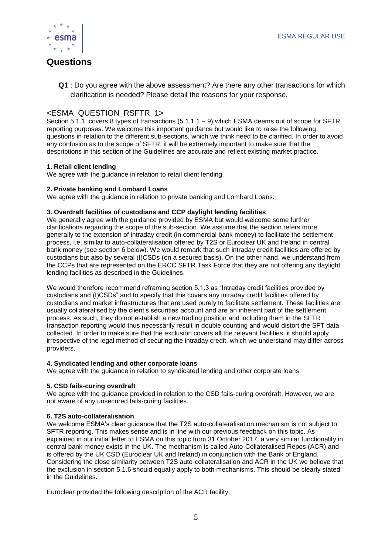

## **Questions**

**Q1** : Do you agree with the above assessment? Are there any other transactions for which clarification is needed? Please detail the reasons for your response.

## <ESMA\_QUESTION\_RSFTR\_1>

Section 5.1.1. covers 8 types of transactions (5.1.1.1 – 9) which ESMA deems out of scope for SFTR reporting purposes. We welcome this important guidance but would like to raise the following questions in relation to the different sub-sections, which we think need to be clarified. In order to avoid any confusion as to the scope of SFTR, it will be extremely important to make sure that the descriptions in this section of the Guidelines are accurate and reflect existing market practice.

#### **1. Retail client lending**

We agree with the guidance in relation to retail client lending.

#### **2. Private banking and Lombard Loans**

We agree with the guidance in relation to private banking and Lombard Loans.

#### **3. Overdraft facilities of custodians and CCP daylight lending facilities**

We generally agree with the guidance provided by ESMA but would welcome some further clarifications regarding the scope of the sub-section. We assume that the section refers more generally to the extension of intraday credit (in commercial bank money) to facilitate the settlement process, i.e. similar to auto-collateralisation offered by T2S or Euroclear UK and Ireland in central bank money (see section 6 below). We would remark that such intraday credit facilities are offered by custodians but also by several (I)CSDs (on a secured basis). On the other hand, we understand from the CCPs that are represented on the ERCC SFTR Task Force that they are not offering any daylight lending facilities as described in the Guidelines.

We would therefore recommend reframing section 5.1.3 as "Intraday credit facilities provided by custodians and (I)CSDs" and to specify that this covers any intraday credit facilities offered by custodians and market infrastructures that are used purely to facilitate settlement. These facilities are usually collateralised by the client's securities account and are an inherent part of the settlement process. As such, they do not establish a new trading position and including them in the SFTR transaction reporting would thus necessarily result in double counting and would distort the SFT data collected. In order to make sure that the exclusion covers all the relevant facilities, it should apply irrespective of the legal method of securing the intraday credit, which we understand may differ across providers.

#### **4. Syndicated lending and other corporate loans**

We agree with the guidance in relation to syndicated lending and other corporate loans.

#### **5. CSD fails-curing overdraft**

We agree with the guidance provided in relation to the CSD fails-curing overdraft. However, we are not aware of any unsecured fails-curing facilities.

#### **6. T2S auto-collateralisation**

We welcome ESMA's clear guidance that the T2S auto-collateralisation mechanism is not subject to SFTR reporting. This makes sense and is in line with our previous feedback on this topic. As explained in our initial letter to ESMA on this topic from 31 October 2017, a very similar functionality in central bank money exists in the UK. The mechanism is called Auto-Collateralised Repos (ACR) and is offered by the UK CSD (Euroclear UK and Ireland) in conjunction with the Bank of England. Considering the close similarity between T2S auto-collateralisation and ACR in the UK we believe that the exclusion in section 5.1.6 should equally apply to both mechanisms. This should be clearly stated in the Guidelines.

Euroclear provided the following description of the ACR facility: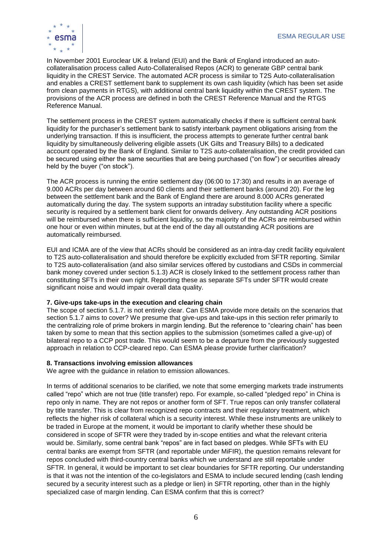

In November 2001 Euroclear UK & Ireland (EUI) and the Bank of England introduced an autocollateralisation process called Auto-Collateralised Repos (ACR) to generate GBP central bank liquidity in the CREST Service. The automated ACR process is similar to T2S Auto-collateralisation and enables a CREST settlement bank to supplement its own cash liquidity (which has been set aside from clean payments in RTGS), with additional central bank liquidity within the CREST system. The provisions of the ACR process are defined in both the CREST Reference Manual and the RTGS Reference Manual.

The settlement process in the CREST system automatically checks if there is sufficient central bank liquidity for the purchaser's settlement bank to satisfy interbank payment obligations arising from the underlying transaction. If this is insufficient, the process attempts to generate further central bank liquidity by simultaneously delivering eligible assets (UK Gilts and Treasury Bills) to a dedicated account operated by the Bank of England. Similar to T2S auto-collateralisation, the credit provided can be secured using either the same securities that are being purchased ("on flow") or securities already held by the buyer ("on stock").

The ACR process is running the entire settlement day (06:00 to 17:30) and results in an average of 9.000 ACRs per day between around 60 clients and their settlement banks (around 20). For the leg between the settlement bank and the Bank of England there are around 8.000 ACRs generated automatically during the day. The system supports an intraday substitution facility where a specific security is required by a settlement bank client for onwards delivery. Any outstanding ACR positions will be reimbursed when there is sufficient liquidity, so the majority of the ACRs are reimbursed within one hour or even within minutes, but at the end of the day all outstanding ACR positions are automatically reimbursed.

EUI and ICMA are of the view that ACRs should be considered as an intra-day credit facility equivalent to T2S auto-collateralisation and should therefore be explicitly excluded from SFTR reporting. Similar to T2S auto-collateralisation (and also similar services offered by custodians and CSDs in commercial bank money covered under section 5.1.3) ACR is closely linked to the settlement process rather than constituting SFTs in their own right. Reporting these as separate SFTs under SFTR would create significant noise and would impair overall data quality.

#### **7. Give-ups take-ups in the execution and clearing chain**

The scope of section 5.1.7. is not entirely clear. Can ESMA provide more details on the scenarios that section 5.1.7 aims to cover? We presume that give-ups and take-ups in this section refer primarily to the centralizing role of prime brokers in margin lending. But the reference to "clearing chain" has been taken by some to mean that this section applies to the submission (sometimes called a give-up) of bilateral repo to a CCP post trade. This would seem to be a departure from the previously suggested approach in relation to CCP-cleared repo. Can ESMA please provide further clarification?

#### **8. Transactions involving emission allowances**

We agree with the guidance in relation to emission allowances.

In terms of additional scenarios to be clarified, we note that some emerging markets trade instruments called "repo" which are not true (title transfer) repo. For example, so-called "pledged repo" in China is repo only in name. They are not repos or another form of SFT. True repos can only transfer collateral by title transfer. This is clear from recognized repo contracts and their regulatory treatment, which reflects the higher risk of collateral which is a security interest. While these instruments are unlikely to be traded in Europe at the moment, it would be important to clarify whether these should be considered in scope of SFTR were they traded by in-scope entities and what the relevant criteria would be. Similarly, some central bank "repos" are in fact based on pledges. While SFTs with EU central banks are exempt from SFTR (and reportable under MiFIR), the question remains relevant for repos concluded with third-country central banks which we understand are still reportable under SFTR. In general, it would be important to set clear boundaries for SFTR reporting. Our understanding is that it was not the intention of the co-legislators and ESMA to include secured lending (cash lending secured by a security interest such as a pledge or lien) in SFTR reporting, other than in the highly specialized case of margin lending. Can ESMA confirm that this is correct?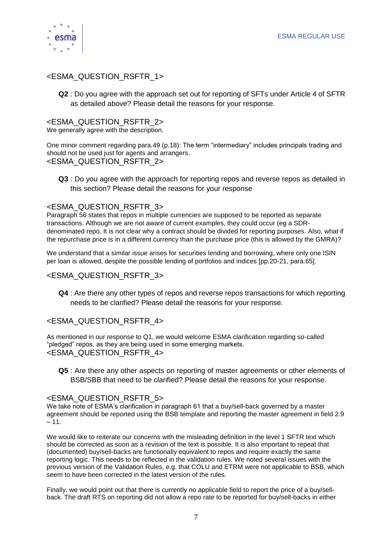

## <ESMA\_QUESTION\_RSFTR\_1>

**Q2** : Do you agree with the approach set out for reporting of SFTs under Article 4 of SFTR as detailed above? Please detail the reasons for your response.

## <ESMA\_QUESTION\_RSFTR\_2>

We generally agree with the description.

One minor comment regarding para.49 (p.18): The term "intermediary" includes principals trading and should not be used just for agents and arrangers. <ESMA\_QUESTION\_RSFTR\_2>

**Q3** : Do you agree with the approach for reporting repos and reverse repos as detailed in this section? Please detail the reasons for your response

## <ESMA\_QUESTION\_RSFTR\_3>

Paragraph 56 states that repos in multiple currencies are supposed to be reported as separate transactions. Although we are not aware of current examples, they could occur (eg a SDRdenominated repo. It is not clear why a contract should be divided for reporting purposes. Also, what if the repurchase price is in a different currency than the purchase price (this is allowed by the GMRA)?

We understand that a similar issue arises for securities lending and borrowing, where only one ISIN per loan is allowed, despite the possible lending of portfolios and indices [pp.20-21, para.65].

## <ESMA\_QUESTION\_RSFTR\_3>

**Q4** : Are there any other types of repos and reverse repos transactions for which reporting needs to be clarified? Please detail the reasons for your response.

## <ESMA\_QUESTION\_RSFTR\_4>

As mentioned in our response to Q1, we would welcome ESMA clarification regarding so-called "pledged" repos, as they are being used in some emerging markets. <ESMA\_QUESTION\_RSFTR\_4>

**Q5** : Are there any other aspects on reporting of master agreements or other elements of BSB/SBB that need to be clarified? Please detail the reasons for your response.

## <ESMA\_QUESTION\_RSFTR\_5>

We take note of ESMA's clarification in paragraph 61 that a buy/sell-back governed by a master agreement should be reported using the BSB template and reporting the master agreement in field 2.9  $-11.$ 

We would like to reiterate our concerns with the misleading definition in the level 1 SFTR text which should be corrected as soon as a revision of the text is possible. It is also important to repeat that (documented) buy/sell-backs are functionally equivalent to repos and require exactly the same reporting logic. This needs to be reflected in the validation rules. We noted several issues with the previous version of the Validation Rules, e.g. that COLU and ETRM were not applicable to BSB, which seem to have been corrected in the latest version of the rules.

Finally, we would point out that there is currently no applicable field to report the price of a buy/sellback. The draft RTS on reporting did not allow a repo rate to be reported for buy/sell-backs in either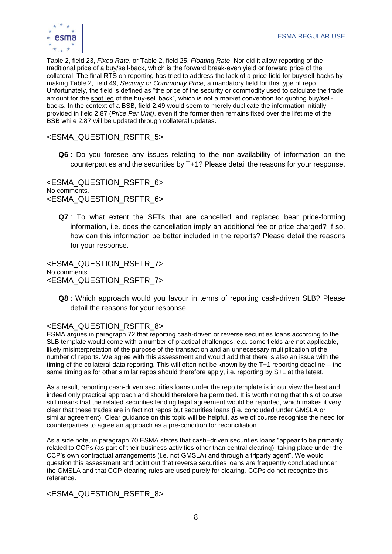

Table 2, field 23, *Fixed Rate*, or Table 2, field 25, *Floating Rate*. Nor did it allow reporting of the traditional price of a buy/sell-back, which is the forward break-even yield or forward price of the collateral. The final RTS on reporting has tried to address the lack of a price field for buy/sell-backs by making Table 2, field 49, *Security or Commodity Price*, a mandatory field for this type of repo. Unfortunately, the field is defined as "the price of the security or commodity used to calculate the trade amount for the spot leg of the buy-sell back", which is not a market convention for quoting buy/sellbacks. In the context of a BSB, field 2.49 would seem to merely duplicate the information initially provided in field 2.87 (*Price Per Unit)*, even if the former then remains fixed over the lifetime of the BSB while 2.87 will be updated through collateral updates.

<ESMA\_QUESTION\_RSFTR\_5>

**Q6** : Do you foresee any issues relating to the non-availability of information on the counterparties and the securities by T+1? Please detail the reasons for your response.

<ESMA\_QUESTION\_RSFTR\_6> No comments. <ESMA\_QUESTION\_RSFTR\_6>

**Q7** : To what extent the SFTs that are cancelled and replaced bear price-forming information, i.e. does the cancellation imply an additional fee or price charged? If so, how can this information be better included in the reports? Please detail the reasons for your response.

<ESMA\_QUESTION\_RSFTR\_7> No comments. <ESMA\_QUESTION\_RSFTR\_7>

**Q8** : Which approach would you favour in terms of reporting cash-driven SLB? Please detail the reasons for your response.

## <ESMA\_QUESTION\_RSFTR\_8>

ESMA argues in paragraph 72 that reporting cash-driven or reverse securities loans according to the SLB template would come with a number of practical challenges, e.g. some fields are not applicable, likely misinterpretation of the purpose of the transaction and an unnecessary multiplication of the number of reports. We agree with this assessment and would add that there is also an issue with the timing of the collateral data reporting. This will often not be known by the T+1 reporting deadline – the same timing as for other similar repos should therefore apply, i.e. reporting by S+1 at the latest.

As a result, reporting cash-driven securities loans under the repo template is in our view the best and indeed only practical approach and should therefore be permitted. It is worth noting that this of course still means that the related securities lending legal agreement would be reported, which makes it very clear that these trades are in fact not repos but securities loans (i.e. concluded under GMSLA or similar agreement). Clear guidance on this topic will be helpful, as we of course recognise the need for counterparties to agree an approach as a pre-condition for reconciliation.

As a side note, in paragraph 70 ESMA states that cash–driven securities loans "appear to be primarily related to CCPs (as part of their business activities other than central clearing), taking place under the CCP's own contractual arrangements (i.e. not GMSLA) and through a triparty agent". We would question this assessment and point out that reverse securities loans are frequently concluded under the GMSLA and that CCP clearing rules are used purely for clearing. CCPs do not recognize this reference.

## <ESMA\_QUESTION\_RSFTR\_8>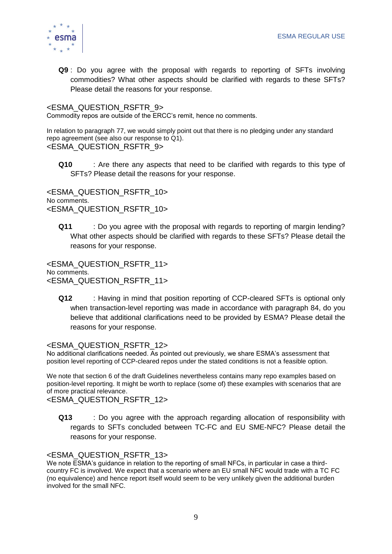

**Q9** : Do you agree with the proposal with regards to reporting of SFTs involving commodities? What other aspects should be clarified with regards to these SFTs? Please detail the reasons for your response.

## <ESMA\_QUESTION\_RSFTR\_9>

Commodity repos are outside of the ERCC's remit, hence no comments.

In relation to paragraph 77, we would simply point out that there is no pledging under any standard repo agreement (see also our response to Q1). <ESMA\_QUESTION\_RSFTR\_9>

**Q10** : Are there any aspects that need to be clarified with regards to this type of SFTs? Please detail the reasons for your response.

<ESMA\_QUESTION\_RSFTR\_10> No comments. <ESMA\_QUESTION\_RSFTR\_10>

**Q11** : Do you agree with the proposal with regards to reporting of margin lending? What other aspects should be clarified with regards to these SFTs? Please detail the reasons for your response.

<ESMA\_QUESTION\_RSFTR\_11> No comments. <ESMA\_QUESTION\_RSFTR\_11>

**Q12** : Having in mind that position reporting of CCP-cleared SFTs is optional only when transaction-level reporting was made in accordance with paragraph 84, do you believe that additional clarifications need to be provided by ESMA? Please detail the reasons for your response.

## <ESMA\_QUESTION\_RSFTR\_12>

No additional clarifications needed. As pointed out previously, we share ESMA's assessment that position level reporting of CCP-cleared repos under the stated conditions is not a feasible option.

We note that section 6 of the draft Guidelines nevertheless contains many repo examples based on position-level reporting. It might be worth to replace (some of) these examples with scenarios that are of more practical relevance.

<ESMA\_QUESTION\_RSFTR\_12>

**Q13** : Do you agree with the approach regarding allocation of responsibility with regards to SFTs concluded between TC-FC and EU SME-NFC? Please detail the reasons for your response.

## <ESMA\_QUESTION\_RSFTR\_13>

We note ESMA's guidance in relation to the reporting of small NFCs, in particular in case a thirdcountry FC is involved. We expect that a scenario where an EU small NFC would trade with a TC FC (no equivalence) and hence report itself would seem to be very unlikely given the additional burden involved for the small NFC.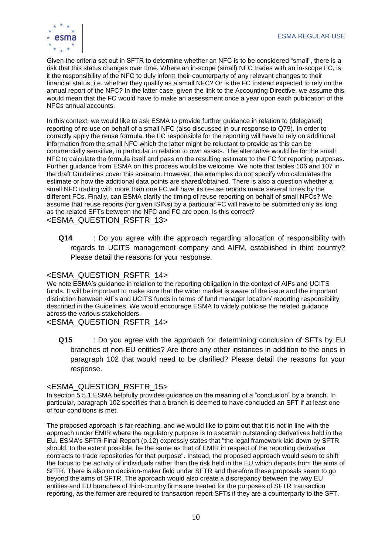

Given the criteria set out in SFTR to determine whether an NFC is to be considered "small", there is a risk that this status changes over time. Where an in-scope (small) NFC trades with an in-scope FC, is it the responsibility of the NFC to duly inform their counterparty of any relevant changes to their financial status, i.e. whether they qualify as a small NFC? Or is the FC instead expected to rely on the annual report of the NFC? In the latter case, given the link to the Accounting Directive, we assume this would mean that the FC would have to make an assessment once a year upon each publication of the NFCs annual accounts.

In this context, we would like to ask ESMA to provide further guidance in relation to (delegated) reporting of re-use on behalf of a small NFC (also discussed in our response to Q79). In order to correctly apply the reuse formula, the FC responsible for the reporting will have to rely on additional information from the small NFC which the latter might be reluctant to provide as this can be commercially sensitive, in particular in relation to own assets. The alternative would be for the small NFC to calculate the formula itself and pass on the resulting estimate to the FC for reporting purposes. Further guidance from ESMA on this process would be welcome. We note that tables 106 and 107 in the draft Guidelines cover this scenario. However, the examples do not specify who calculates the estimate or how the additional data points are shared/obtained. There is also a question whether a small NFC trading with more than one FC will have its re-use reports made several times by the different FCs. Finally, can ESMA clarify the timing of reuse reporting on behalf of small NFCs? We assume that reuse reports (for given ISINs) by a particular FC will have to be submitted only as long as the related SFTs between the NFC and FC are open. Is this correct? <ESMA\_QUESTION\_RSFTR\_13>

**Q14** : Do you agree with the approach regarding allocation of responsibility with regards to UCITS management company and AIFM, established in third country? Please detail the reasons for your response.

### <ESMA\_QUESTION\_RSFTR\_14>

We note ESMA's guidance in relation to the reporting obligation in the context of AIFs and UCITS funds. It will be important to make sure that the wider market is aware of the issue and the important distinction between AIFs and UCITS funds in terms of fund manager location/ reporting responsibility described in the Guidelines. We would encourage ESMA to widely publicise the related guidance across the various stakeholders.

<ESMA\_QUESTION\_RSFTR\_14>

**Q15** : Do you agree with the approach for determining conclusion of SFTs by EU branches of non-EU entities? Are there any other instances in addition to the ones in paragraph 102 that would need to be clarified? Please detail the reasons for your response.

#### <ESMA\_QUESTION\_RSFTR\_15>

In section 5.5.1 ESMA helpfully provides guidance on the meaning of a "conclusion" by a branch. In particular, paragraph 102 specifies that a branch is deemed to have concluded an SFT if at least one of four conditions is met.

The proposed approach is far-reaching, and we would like to point out that it is not in line with the approach under EMIR where the regulatory purpose is to ascertain outstanding derivatives held in the EU. ESMA's SFTR Final Report (p.12) expressly states that "the legal framework laid down by SFTR should, to the extent possible, be the same as that of EMIR in respect of the reporting derivative contracts to trade repositories for that purpose". Instead, the proposed approach would seem to shift the focus to the activity of individuals rather than the risk held in the EU which departs from the aims of SFTR. There is also no decision-maker field under SFTR and therefore these proposals seem to go beyond the aims of SFTR. The approach would also create a discrepancy between the way EU entities and EU branches of third-country firms are treated for the purposes of SFTR transaction reporting, as the former are required to transaction report SFTs if they are a counterparty to the SFT.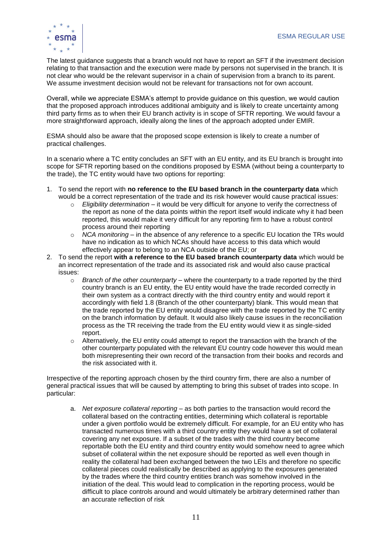

The latest guidance suggests that a branch would not have to report an SFT if the investment decision relating to that transaction and the execution were made by persons not supervised in the branch. It is not clear who would be the relevant supervisor in a chain of supervision from a branch to its parent. We assume investment decision would not be relevant for transactions not for own account.

Overall, while we appreciate ESMA's attempt to provide guidance on this question, we would caution that the proposed approach introduces additional ambiguity and is likely to create uncertainty among third party firms as to when their EU branch activity is in scope of SFTR reporting. We would favour a more straightforward approach, ideally along the lines of the approach adopted under EMIR.

ESMA should also be aware that the proposed scope extension is likely to create a number of practical challenges.

In a scenario where a TC entity concludes an SFT with an EU entity, and its EU branch is brought into scope for SFTR reporting based on the conditions proposed by ESMA (without being a counterparty to the trade), the TC entity would have two options for reporting:

- 1. To send the report with **no reference to the EU based branch in the counterparty data** which would be a correct representation of the trade and its risk however would cause practical issues:
	- o *Eligibility determination* it would be very difficult for anyone to verify the correctness of the report as none of the data points within the report itself would indicate why it had been reported, this would make it very difficult for any reporting firm to have a robust control process around their reporting
	- o *NCA monitoring* in the absence of any reference to a specific EU location the TRs would have no indication as to which NCAs should have access to this data which would effectively appear to belong to an NCA outside of the EU; or
- 2. To send the report **with a reference to the EU based branch counterparty data** which would be an incorrect representation of the trade and its associated risk and would also cause practical issues:
	- o *Branch of the other counterparty* where the counterparty to a trade reported by the third country branch is an EU entity, the EU entity would have the trade recorded correctly in their own system as a contract directly with the third country entity and would report it accordingly with field 1.8 (Branch of the other counterparty) blank. This would mean that the trade reported by the EU entity would disagree with the trade reported by the TC entity on the branch information by default. It would also likely cause issues in the reconciliation process as the TR receiving the trade from the EU entity would view it as single-sided report.
	- $\circ$  Alternatively, the EU entity could attempt to report the transaction with the branch of the other counterparty populated with the relevant EU country code however this would mean both misrepresenting their own record of the transaction from their books and records and the risk associated with it.

Irrespective of the reporting approach chosen by the third country firm, there are also a number of general practical issues that will be caused by attempting to bring this subset of trades into scope. In particular:

a. *Net exposure collateral reporting* – as both parties to the transaction would record the collateral based on the contracting entities, determining which collateral is reportable under a given portfolio would be extremely difficult. For example, for an EU entity who has transacted numerous times with a third country entity they would have a set of collateral covering any net exposure. If a subset of the trades with the third country become reportable both the EU entity and third country entity would somehow need to agree which subset of collateral within the net exposure should be reported as well even though in reality the collateral had been exchanged between the two LEIs and therefore no specific collateral pieces could realistically be described as applying to the exposures generated by the trades where the third country entities branch was somehow involved in the initiation of the deal. This would lead to complication in the reporting process, would be difficult to place controls around and would ultimately be arbitrary determined rather than an accurate reflection of risk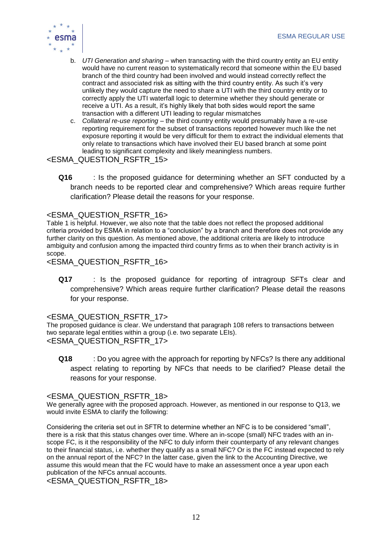

- b. *UTI Generation and sharing* when transacting with the third country entity an EU entity would have no current reason to systematically record that someone within the EU based branch of the third country had been involved and would instead correctly reflect the contract and associated risk as sitting with the third country entity. As such it's very unlikely they would capture the need to share a UTI with the third country entity or to correctly apply the UTI waterfall logic to determine whether they should generate or receive a UTI. As a result, it's highly likely that both sides would report the same transaction with a different UTI leading to regular mismatches
- c. *Collateral re-use reporting* the third country entity would presumably have a re-use reporting requirement for the subset of transactions reported however much like the net exposure reporting it would be very difficult for them to extract the individual elements that only relate to transactions which have involved their EU based branch at some point leading to significant complexity and likely meaningless numbers.

## <ESMA\_QUESTION\_RSFTR\_15>

**Q16** : Is the proposed guidance for determining whether an SFT conducted by a branch needs to be reported clear and comprehensive? Which areas require further clarification? Please detail the reasons for your response.

## <ESMA\_QUESTION\_RSFTR\_16>

Table 1 is helpful. However, we also note that the table does not reflect the proposed additional criteria provided by ESMA in relation to a "conclusion" by a branch and therefore does not provide any further clarity on this question. As mentioned above, the additional criteria are likely to introduce ambiguity and confusion among the impacted third country firms as to when their branch activity is in scope.

<ESMA\_QUESTION\_RSFTR\_16>

**Q17** : Is the proposed guidance for reporting of intragroup SFTs clear and comprehensive? Which areas require further clarification? Please detail the reasons for your response.

## <ESMA\_QUESTION\_RSFTR\_17>

The proposed guidance is clear. We understand that paragraph 108 refers to transactions between two separate legal entities within a group (i.e. two separate LEIs). <ESMA\_QUESTION\_RSFTR\_17>

**Q18** : Do you agree with the approach for reporting by NFCs? Is there any additional aspect relating to reporting by NFCs that needs to be clarified? Please detail the reasons for your response.

## <ESMA\_QUESTION\_RSFTR\_18>

We generally agree with the proposed approach. However, as mentioned in our response to Q13, we would invite ESMA to clarify the following:

Considering the criteria set out in SFTR to determine whether an NFC is to be considered "small", there is a risk that this status changes over time. Where an in-scope (small) NFC trades with an inscope FC, is it the responsibility of the NFC to duly inform their counterparty of any relevant changes to their financial status, i.e. whether they qualify as a small NFC? Or is the FC instead expected to rely on the annual report of the NFC? In the latter case, given the link to the Accounting Directive, we assume this would mean that the FC would have to make an assessment once a year upon each publication of the NFCs annual accounts.

<ESMA\_QUESTION\_RSFTR\_18>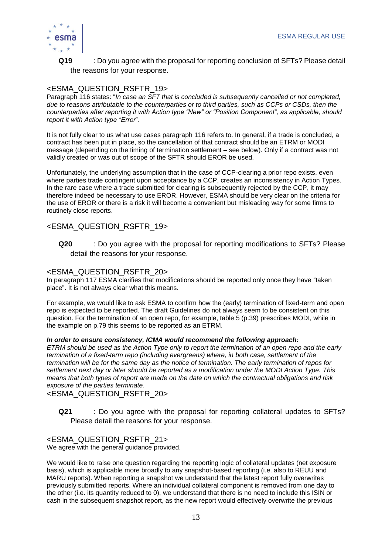

## **Q19** : Do you agree with the proposal for reporting conclusion of SFTs? Please detail the reasons for your response.

## <ESMA\_QUESTION\_RSFTR\_19>

Paragraph 116 states: "*In case an SFT that is concluded is subsequently cancelled or not completed, due to reasons attributable to the counterparties or to third parties, such as CCPs or CSDs, then the counterparties after reporting it with Action type "New" or "Position Component", as applicable, should report it with Action type "Error*".

It is not fully clear to us what use cases paragraph 116 refers to. In general, if a trade is concluded, a contract has been put in place, so the cancellation of that contract should be an ETRM or MODI message (depending on the timing of termination settlement – see below). Only if a contract was not validly created or was out of scope of the SFTR should EROR be used.

Unfortunately, the underlying assumption that in the case of CCP-clearing a prior repo exists, even where parties trade contingent upon acceptance by a CCP, creates an inconsistency in Action Types. In the rare case where a trade submitted for clearing is subsequently rejected by the CCP, it may therefore indeed be necessary to use EROR. However, ESMA should be very clear on the criteria for the use of EROR or there is a risk it will become a convenient but misleading way for some firms to routinely close reports.

## <ESMA\_QUESTION\_RSFTR\_19>

**Q20** : Do you agree with the proposal for reporting modifications to SFTs? Please detail the reasons for your response.

## <ESMA\_QUESTION\_RSFTR\_20>

In paragraph 117 ESMA clarifies that modifications should be reported only once they have "taken place". It is not always clear what this means.

For example, we would like to ask ESMA to confirm how the (early) termination of fixed-term and open repo is expected to be reported. The draft Guidelines do not always seem to be consistent on this question. For the termination of an open repo, for example, table 5 (p.39) prescribes MODI, while in the example on p.79 this seems to be reported as an ETRM.

#### *In order to ensure consistency, ICMA would recommend the following approach:*

*ETRM should be used as the Action Type only to report the termination of an open repo and the early termination of a fixed-term repo (including evergreens) where, in both case, settlement of the termination will be for the same day as the notice of termination. The early termination of repos for settlement next day or later should be reported as a modification under the MODI Action Type. This means that both types of report are made on the date on which the contractual obligations and risk exposure of the parties terminate.*

<ESMA\_QUESTION\_RSFTR\_20>

**Q21** : Do you agree with the proposal for reporting collateral updates to SFTs? Please detail the reasons for your response.

## <ESMA\_QUESTION\_RSFTR\_21>

We agree with the general guidance provided.

We would like to raise one question regarding the reporting logic of collateral updates (net exposure basis), which is applicable more broadly to any snapshot-based reporting (i.e. also to REUU and MARU reports). When reporting a snapshot we understand that the latest report fully overwrites previously submitted reports. Where an individual collateral component is removed from one day to the other (i.e. its quantity reduced to 0), we understand that there is no need to include this ISIN or cash in the subsequent snapshot report, as the new report would effectively overwrite the previous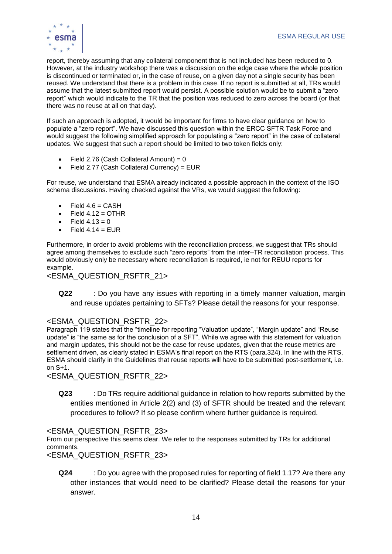

report, thereby assuming that any collateral component that is not included has been reduced to 0. However, at the industry workshop there was a discussion on the edge case where the whole position is discontinued or terminated or, in the case of reuse, on a given day not a single security has been reused. We understand that there is a problem in this case. If no report is submitted at all, TRs would assume that the latest submitted report would persist. A possible solution would be to submit a "zero report" which would indicate to the TR that the position was reduced to zero across the board (or that there was no reuse at all on that day).

If such an approach is adopted, it would be important for firms to have clear guidance on how to populate a "zero report". We have discussed this question within the ERCC SFTR Task Force and would suggest the following simplified approach for populating a "zero report" in the case of collateral updates. We suggest that such a report should be limited to two token fields only:

- Field 2.76 (Cash Collateral Amount) =  $0$
- Field 2.77 (Cash Collateral Currency) = EUR

For reuse, we understand that ESMA already indicated a possible approach in the context of the ISO schema discussions. Having checked against the VRs, we would suggest the following:

- $\bullet$  Field 4.6 = CASH
- Field  $4.12$  = OTHR
- Field  $4.13 = 0$
- $Field 4.14 = FUR$

Furthermore, in order to avoid problems with the reconciliation process, we suggest that TRs should agree among themselves to exclude such "zero reports" from the inter–TR reconciliation process. This would obviously only be necessary where reconciliation is required, ie not for REUU reports for example.

## <ESMA\_QUESTION\_RSFTR\_21>

**Q22** : Do you have any issues with reporting in a timely manner valuation, margin and reuse updates pertaining to SFTs? Please detail the reasons for your response.

## <ESMA\_QUESTION\_RSFTR\_22>

Paragraph 119 states that the "timeline for reporting "Valuation update", "Margin update" and "Reuse update" is "the same as for the conclusion of a SFT". While we agree with this statement for valuation and margin updates, this should not be the case for reuse updates, given that the reuse metrics are settlement driven, as clearly stated in ESMA's final report on the RTS (para.324). In line with the RTS, ESMA should clarify in the Guidelines that reuse reports will have to be submitted post-settlement, i.e. on S+1.

<ESMA\_QUESTION\_RSFTR\_22>

**Q23** : Do TRs require additional guidance in relation to how reports submitted by the entities mentioned in Article 2(2) and (3) of SFTR should be treated and the relevant procedures to follow? If so please confirm where further guidance is required.

## <ESMA\_QUESTION\_RSFTR\_23>

From our perspective this seems clear. We refer to the responses submitted by TRs for additional comments.

<ESMA\_QUESTION\_RSFTR\_23>

**Q24** : Do you agree with the proposed rules for reporting of field 1.17? Are there any other instances that would need to be clarified? Please detail the reasons for your answer.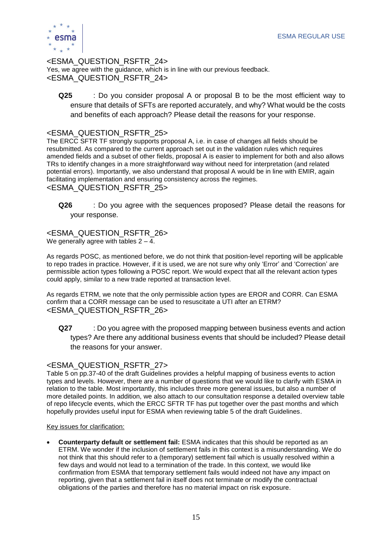

<ESMA\_QUESTION\_RSFTR\_24> Yes, we agree with the guidance, which is in line with our previous feedback. <ESMA\_QUESTION\_RSFTR\_24>

**Q25** : Do you consider proposal A or proposal B to be the most efficient way to ensure that details of SFTs are reported accurately, and why? What would be the costs and benefits of each approach? Please detail the reasons for your response.

## <ESMA\_QUESTION\_RSFTR\_25>

The ERCC SFTR TF strongly supports proposal A, i.e. in case of changes all fields should be resubmitted. As compared to the current approach set out in the validation rules which requires amended fields and a subset of other fields, proposal A is easier to implement for both and also allows TRs to identify changes in a more straightforward way without need for interpretation (and related potential errors). Importantly, we also understand that proposal A would be in line with EMIR, again facilitating implementation and ensuring consistency across the regimes. <ESMA\_QUESTION\_RSFTR\_25>

**Q26** : Do you agree with the sequences proposed? Please detail the reasons for your response.

<ESMA\_QUESTION\_RSFTR\_26> We generally agree with tables  $2 - 4$ .

As regards POSC, as mentioned before, we do not think that position-level reporting will be applicable to repo trades in practice. However, if it is used, we are not sure why only 'Error' and 'Correction' are permissible action types following a POSC report. We would expect that all the relevant action types could apply, similar to a new trade reported at transaction level.

As regards ETRM, we note that the only permissible action types are EROR and CORR. Can ESMA confirm that a CORR message can be used to resuscitate a UTI after an ETRM? <ESMA\_QUESTION\_RSFTR\_26>

**Q27** : Do you agree with the proposed mapping between business events and action types? Are there any additional business events that should be included? Please detail the reasons for your answer.

## <ESMA\_QUESTION\_RSFTR\_27>

Table 5 on pp.37-40 of the draft Guidelines provides a helpful mapping of business events to action types and levels. However, there are a number of questions that we would like to clarify with ESMA in relation to the table. Most importantly, this includes three more general issues, but also a number of more detailed points. In addition, we also attach to our consultation response a detailed overview table of repo lifecycle events, which the ERCC SFTR TF has put together over the past months and which hopefully provides useful input for ESMA when reviewing table 5 of the draft Guidelines.

#### Key issues for clarification:

• **Counterparty default or settlement fail:** ESMA indicates that this should be reported as an ETRM. We wonder if the inclusion of settlement fails in this context is a misunderstanding. We do not think that this should refer to a (temporary) settlement fail which is usually resolved within a few days and would not lead to a termination of the trade. In this context, we would like confirmation from ESMA that temporary settlement fails would indeed not have any impact on reporting, given that a settlement fail in itself does not terminate or modify the contractual obligations of the parties and therefore has no material impact on risk exposure.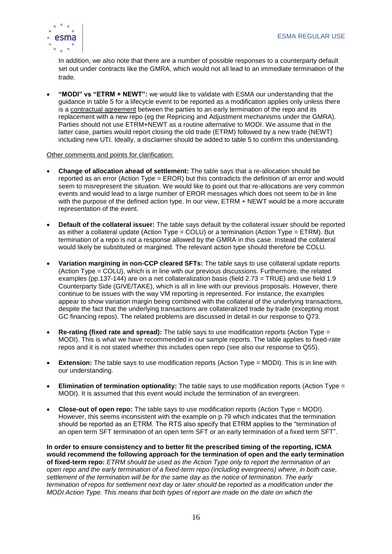

In addition, we also note that there are a number of possible responses to a counterparty default set out under contracts like the GMRA, which would not all lead to an immediate termination of the trade.

• **"MODI" vs "ETRM + NEWT":** we would like to validate with ESMA our understanding that the guidance in table 5 for a lifecycle event to be reported as a modification applies only unless there is a contractual agreement between the parties to an early termination of the repo and its replacement with a new repo (eg the Repricing and Adjustment mechanisms under the GMRA). Parties should not use ETRM+NEWT as a routine alternative to MODI. We assume that in the latter case, parties would report closing the old trade (ETRM) followed by a new trade (NEWT) including new UTI. Ideally, a disclaimer should be added to table 5 to confirm this understanding.

#### Other comments and points for clarification:

- **Change of allocation ahead of settlement:** The table says that a re-allocation should be reported as an error (Action Type = EROR) but this contradicts the definition of an error and would seem to misrepresent the situation. We would like to point out that re-allocations are very common events and would lead to a large number of EROR messages which does not seem to be in line with the purpose of the defined action type. In our view, ETRM + NEWT would be a more accurate representation of the event.
- **Default of the collateral issuer:** The table says default by the collateral issuer should be reported as either a collateral update (Action Type = COLU) or a termination (Action Type = ETRM). But termination of a repo is not a response allowed by the GMRA in this case. Instead the collateral would likely be substituted or margined. The relevant action type should therefore be COLU*.*
- **Variation margining in non-CCP cleared SFTs:** The table says to use collateral update reports (Action Type = COLU), which is in line with our previous discussions. Furthermore, the related examples (pp.137-144) are on a net collateralization basis (field 2.73 = TRUE) and use field 1.9 Counterparty Side (GIVE/TAKE), which is all in line with our previous proposals. However, there continue to be issues with the way VM reporting is represented. For instance, the examples appear to show variation margin being combined with the collateral of the underlying transactions, despite the fact that the underlying transactions are collateralized trade by trade (excepting most GC financing repos). The related problems are discussed in detail in our response to Q73.
- **Re-rating (fixed rate and spread):** The table says to use modification reports (Action Type = MODI). This is what we have recommended in our sample reports. The table applies to fixed-rate repos and it is not stated whether this includes open repo (see also our response to Q55).
- **Extension:** The table says to use modification reports (Action Type = MODI). This is in line with our understanding.
- **Elimination of termination optionality:** The table says to use modification reports (Action Type = MODI). It is assumed that this event would include the termination of an evergreen.
- **Close-out of open repo:** The table says to use modification reports (Action Type = MODI). However, this seems inconsistent with the example on p.79 which indicates that the termination should be reported as an ETRM. The RTS also specify that ETRM applies to the "termination of an open term SFT termination of an open term SFT or an early termination of a fixed term SFT".

**In order to ensure consistency and to better fit the prescribed timing of the reporting, ICMA would recommend the following approach for the termination of open and the early termination of fixed-term repo:** *ETRM should be used as the Action Type only to report the termination of an open repo and the early termination of a fixed-term repo (including evergreens) where, in both case, settlement of the termination will be for the same day as the notice of termination. The early termination of repos for settlement next day or later should be reported as a modification under the MODI Action Type. This means that both types of report are made on the date on which the*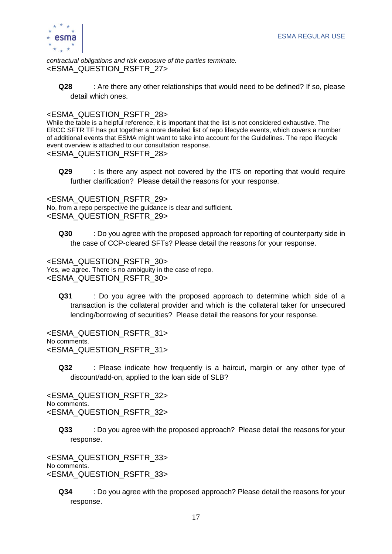

*contractual obligations and risk exposure of the parties terminate.* <ESMA\_QUESTION\_RSFTR\_27>

**Q28** : Are there any other relationships that would need to be defined? If so, please detail which ones.

## <ESMA\_QUESTION\_RSFTR\_28>

While the table is a helpful reference, it is important that the list is not considered exhaustive. The ERCC SFTR TF has put together a more detailed list of repo lifecycle events, which covers a number of additional events that ESMA might want to take into account for the Guidelines. The repo lifecycle event overview is attached to our consultation response.

#### <ESMA\_QUESTION\_RSFTR\_28>

**Q29** : Is there any aspect not covered by the ITS on reporting that would require further clarification? Please detail the reasons for your response.

<ESMA\_QUESTION\_RSFTR\_29> No, from a repo perspective the guidance is clear and sufficient. <ESMA\_QUESTION\_RSFTR\_29>

**Q30** : Do you agree with the proposed approach for reporting of counterparty side in the case of CCP-cleared SFTs? Please detail the reasons for your response.

<ESMA\_QUESTION\_RSFTR\_30> Yes, we agree. There is no ambiguity in the case of repo. <ESMA\_QUESTION\_RSFTR\_30>

**Q31** : Do you agree with the proposed approach to determine which side of a transaction is the collateral provider and which is the collateral taker for unsecured lending/borrowing of securities? Please detail the reasons for your response.

<ESMA\_QUESTION\_RSFTR\_31> No comments. <ESMA\_QUESTION\_RSFTR\_31>

**Q32** : Please indicate how frequently is a haircut, margin or any other type of discount/add-on, applied to the loan side of SLB?

<ESMA\_QUESTION\_RSFTR\_32> No comments. <ESMA\_QUESTION\_RSFTR\_32>

**Q33** : Do you agree with the proposed approach? Please detail the reasons for your response.

<ESMA\_QUESTION\_RSFTR\_33> No comments. <ESMA\_QUESTION\_RSFTR\_33>

**Q34** : Do you agree with the proposed approach? Please detail the reasons for your response.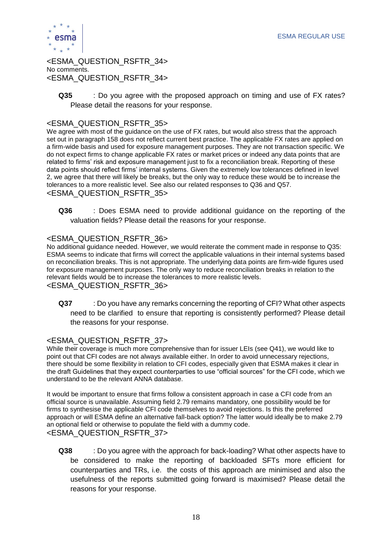

<ESMA\_QUESTION\_RSFTR\_34> No comments. <ESMA\_QUESTION\_RSFTR\_34>

**Q35** : Do you agree with the proposed approach on timing and use of FX rates? Please detail the reasons for your response.

## <ESMA\_QUESTION\_RSFTR\_35>

We agree with most of the guidance on the use of FX rates, but would also stress that the approach set out in paragraph 158 does not reflect current best practice. The applicable FX rates are applied on a firm-wide basis and used for exposure management purposes. They are not transaction specific. We do not expect firms to change applicable FX rates or market prices or indeed any data points that are related to firms' risk and exposure management just to fix a reconciliation break. Reporting of these data points should reflect firms' internal systems. Given the extremely low tolerances defined in level 2, we agree that there will likely be breaks, but the only way to reduce these would be to increase the tolerances to a more realistic level. See also our related responses to Q36 and Q57. <ESMA\_QUESTION\_RSFTR\_35>

**Q36** : Does ESMA need to provide additional guidance on the reporting of the valuation fields? Please detail the reasons for your response.

## <ESMA\_QUESTION\_RSFTR\_36>

No additional guidance needed. However, we would reiterate the comment made in response to Q35: ESMA seems to indicate that firms will correct the applicable valuations in their internal systems based on reconciliation breaks. This is not appropriate. The underlying data points are firm-wide figures used for exposure management purposes. The only way to reduce reconciliation breaks in relation to the relevant fields would be to increase the tolerances to more realistic levels. <ESMA\_QUESTION\_RSFTR\_36>

**Q37** : Do you have any remarks concerning the reporting of CFI? What other aspects need to be clarified to ensure that reporting is consistently performed? Please detail the reasons for your response.

#### <ESMA\_QUESTION\_RSFTR\_37>

While their coverage is much more comprehensive than for issuer LEIs (see Q41), we would like to point out that CFI codes are not always available either. In order to avoid unnecessary rejections, there should be some flexibility in relation to CFI codes, especially given that ESMA makes it clear in the draft Guidelines that they expect counterparties to use "official sources" for the CFI code, which we understand to be the relevant ANNA database.

It would be important to ensure that firms follow a consistent approach in case a CFI code from an official source is unavailable. Assuming field 2.79 remains mandatory, one possibility would be for firms to synthesise the applicable CFI code themselves to avoid rejections. Is this the preferred approach or will ESMA define an alternative fall-back option? The latter would ideally be to make 2.79 an optional field or otherwise to populate the field with a dummy code. <ESMA\_QUESTION\_RSFTR\_37>

**Q38** : Do you agree with the approach for back-loading? What other aspects have to be considered to make the reporting of backloaded SFTs more efficient for counterparties and TRs, i.e. the costs of this approach are minimised and also the usefulness of the reports submitted going forward is maximised? Please detail the reasons for your response.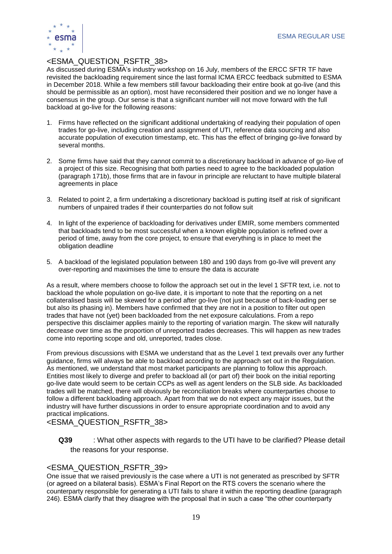

## <ESMA\_QUESTION\_RSFTR\_38>

As discussed during ESMA's industry workshop on 16 July, members of the ERCC SFTR TF have revisited the backloading requirement since the last formal ICMA ERCC feedback submitted to ESMA in December 2018. While a few members still favour backloading their entire book at go-live (and this should be permissible as an option), most have reconsidered their position and we no longer have a consensus in the group. Our sense is that a significant number will not move forward with the full backload at go-live for the following reasons:

- 1. Firms have reflected on the significant additional undertaking of readying their population of open trades for go-live, including creation and assignment of UTI, reference data sourcing and also accurate population of execution timestamp, etc. This has the effect of bringing go-live forward by several months.
- 2. Some firms have said that they cannot commit to a discretionary backload in advance of go-live of a project of this size. Recognising that both parties need to agree to the backloaded population (paragraph 171b), those firms that are in favour in principle are reluctant to have multiple bilateral agreements in place
- 3. Related to point 2, a firm undertaking a discretionary backload is putting itself at risk of significant numbers of unpaired trades if their counterparties do not follow suit
- 4. In light of the experience of backloading for derivatives under EMIR, some members commented that backloads tend to be most successful when a known eligible population is refined over a period of time, away from the core project, to ensure that everything is in place to meet the obligation deadline
- 5. A backload of the legislated population between 180 and 190 days from go-live will prevent any over-reporting and maximises the time to ensure the data is accurate

As a result, where members choose to follow the approach set out in the level 1 SFTR text, i.e. not to backload the whole population on go-live date, it is important to note that the reporting on a net collateralised basis will be skewed for a period after go-live (not just because of back-loading per se but also its phasing in). Members have confirmed that they are not in a position to filter out open trades that have not (yet) been backloaded from the net exposure calculations. From a repo perspective this disclaimer applies mainly to the reporting of variation margin. The skew will naturally decrease over time as the proportion of unreported trades decreases. This will happen as new trades come into reporting scope and old, unreported, trades close.

From previous discussions with ESMA we understand that as the Level 1 text prevails over any further guidance, firms will always be able to backload according to the approach set out in the Regulation. As mentioned, we understand that most market participants are planning to follow this approach. Entities most likely to diverge and prefer to backload all (or part of) their book on the initial reporting go-live date would seem to be certain CCPs as well as agent lenders on the SLB side. As backloaded trades will be matched, there will obviously be reconciliation breaks where counterparties choose to follow a different backloading approach. Apart from that we do not expect any major issues, but the industry will have further discussions in order to ensure appropriate coordination and to avoid any practical implications.

## <ESMA\_QUESTION\_RSFTR\_38>

**Q39** : What other aspects with regards to the UTI have to be clarified? Please detail the reasons for your response.

## <ESMA\_QUESTION\_RSFTR\_39>

One issue that we raised previously is the case where a UTI is not generated as prescribed by SFTR (or agreed on a bilateral basis). ESMA's Final Report on the RTS covers the scenario where the counterparty responsible for generating a UTI fails to share it within the reporting deadline (paragraph 246). ESMA clarify that they disagree with the proposal that in such a case "the other counterparty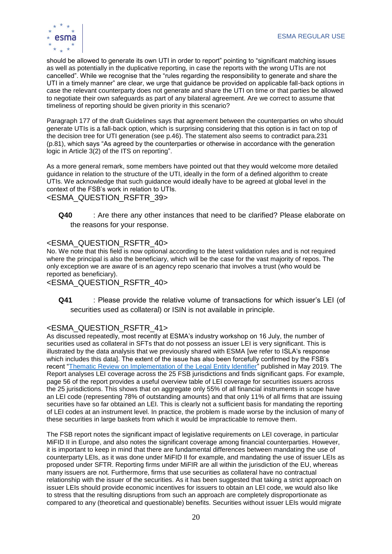

should be allowed to generate its own UTI in order to report" pointing to "significant matching issues as well as potentially in the duplicative reporting, in case the reports with the wrong UTIs are not cancelled". While we recognise that the "rules regarding the responsibility to generate and share the UTI in a timely manner" are clear, we urge that guidance be provided on applicable fall-back options in case the relevant counterparty does not generate and share the UTI on time or that parties be allowed to negotiate their own safeguards as part of any bilateral agreement. Are we correct to assume that timeliness of reporting should be given priority in this scenario?

Paragraph 177 of the draft Guidelines says that agreement between the counterparties on who should generate UTIs is a fall-back option, which is surprising considering that this option is in fact on top of the decision tree for UTI generation (see p.46). The statement also seems to contradict para.231 (p.81), which says "As agreed by the counterparties or otherwise in accordance with the generation logic in Article 3(2) of the ITS on reporting".

As a more general remark, some members have pointed out that they would welcome more detailed guidance in relation to the structure of the UTI, ideally in the form of a defined algorithm to create UTIs. We acknowledge that such guidance would ideally have to be agreed at global level in the context of the FSB's work in relation to UTIs.

<ESMA\_QUESTION\_RSFTR\_39>

**Q40** : Are there any other instances that need to be clarified? Please elaborate on the reasons for your response.

## <ESMA\_QUESTION\_RSFTR\_40>

No. We note that this field is now optional according to the latest validation rules and is not required where the principal is also the beneficiary, which will be the case for the vast majority of repos. The only exception we are aware of is an agency repo scenario that involves a trust (who would be reported as beneficiary).

## <ESMA\_QUESTION\_RSFTR\_40>

**Q41** : Please provide the relative volume of transactions for which issuer's LEI (of securities used as collateral) or ISIN is not available in principle.

## <ESMA\_QUESTION\_RSFTR\_41>

As discussed repeatedly, most recently at ESMA's industry workshop on 16 July, the number of securities used as collateral in SFTs that do not possess an issuer LEI is very significant. This is illustrated by the data analysis that we previously shared with ESMA [we refer to ISLA's response which includes this data]. The extent of the issue has also been forcefully confirmed by the FSB's recent ["Thematic Review on Implementation of the Legal Entity Identifier"](https://www.fsb.org/wp-content/uploads/P280519-2.pdf) published in May 2019. The Report analyses LEI coverage across the 25 FSB jurisdictions and finds significant gaps. For example, page 56 of the report provides a useful overview table of LEI coverage for securities issuers across the 25 jurisdictions. This shows that on aggregate only 55% of all financial instruments in scope have an LEI code (representing 78% of outstanding amounts) and that only 11% of all firms that are issuing securities have so far obtained an LEI. This is clearly not a sufficient basis for mandating the reporting of LEI codes at an instrument level. In practice, the problem is made worse by the inclusion of many of these securities in large baskets from which it would be impracticable to remove them.

The FSB report notes the significant impact of legislative requirements on LEI coverage, in particular MiFID II in Europe, and also notes the significant coverage among financial counterparties. However, it is important to keep in mind that there are fundamental differences between mandating the use of counterparty LEIs, as it was done under MiFID II for example, and mandating the use of issuer LEIs as proposed under SFTR. Reporting firms under MiFIR are all within the jurisdiction of the EU, whereas many issuers are not. Furthermore, firms that use securities as collateral have no contractual relationship with the issuer of the securities. As it has been suggested that taking a strict approach on issuer LEIs should provide economic incentives for issuers to obtain an LEI code, we would also like to stress that the resulting disruptions from such an approach are completely disproportionate as compared to any (theoretical and questionable) benefits. Securities without issuer LEIs would migrate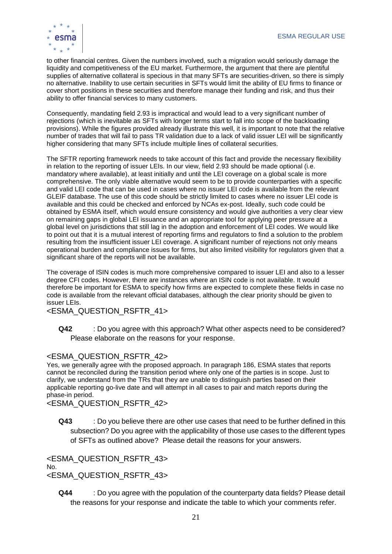

to other financial centres. Given the numbers involved, such a migration would seriously damage the liquidity and competitiveness of the EU market. Furthermore, the argument that there are plentiful supplies of alternative collateral is specious in that many SFTs are securities-driven, so there is simply no alternative. Inability to use certain securities in SFTs would limit the ability of EU firms to finance or cover short positions in these securities and therefore manage their funding and risk, and thus their ability to offer financial services to many customers.

Consequently, mandating field 2.93 is impractical and would lead to a very significant number of rejections (which is inevitable as SFTs with longer terms start to fall into scope of the backloading provisions). While the figures provided already illustrate this well, it is important to note that the relative number of trades that will fail to pass TR validation due to a lack of valid issuer LEI will be significantly higher considering that many SFTs include multiple lines of collateral securities.

The SFTR reporting framework needs to take account of this fact and provide the necessary flexibility in relation to the reporting of issuer LEIs. In our view, field 2.93 should be made optional (i.e. mandatory where available), at least initially and until the LEI coverage on a global scale is more comprehensive. The only viable alternative would seem to be to provide counterparties with a specific and valid LEI code that can be used in cases where no issuer LEI code is available from the relevant GLEIF database. The use of this code should be strictly limited to cases where no issuer LEI code is available and this could be checked and enforced by NCAs ex-post. Ideally, such code could be obtained by ESMA itself, which would ensure consistency and would give authorities a very clear view on remaining gaps in global LEI issuance and an appropriate tool for applying peer pressure at a global level on jurisdictions that still lag in the adoption and enforcement of LEI codes. We would like to point out that it is a mutual interest of reporting firms and regulators to find a solution to the problem resulting from the insufficient issuer LEI coverage. A significant number of rejections not only means operational burden and compliance issues for firms, but also limited visibility for regulators given that a significant share of the reports will not be available.

The coverage of ISIN codes is much more comprehensive compared to issuer LEI and also to a lesser degree CFI codes. However, there are instances where an ISIN code is not available. It would therefore be important for ESMA to specify how firms are expected to complete these fields in case no code is available from the relevant official databases, although the clear priority should be given to issuer LEIs.

<ESMA\_QUESTION\_RSFTR\_41>

**Q42** : Do you agree with this approach? What other aspects need to be considered? Please elaborate on the reasons for your response.

## <ESMA\_QUESTION\_RSFTR\_42>

Yes, we generally agree with the proposed approach. In paragraph 186, ESMA states that reports cannot be reconciled during the transition period where only one of the parties is in scope. Just to clarify, we understand from the TRs that they are unable to distinguish parties based on their applicable reporting go-live date and will attempt in all cases to pair and match reports during the phase-in period.

<ESMA\_QUESTION\_RSFTR\_42>

**Q43** : Do you believe there are other use cases that need to be further defined in this subsection? Do you agree with the applicability of those use cases to the different types of SFTs as outlined above? Please detail the reasons for your answers.

<ESMA\_QUESTION\_RSFTR\_43> No. <ESMA\_QUESTION\_RSFTR\_43>

**Q44** : Do you agree with the population of the counterparty data fields? Please detail the reasons for your response and indicate the table to which your comments refer.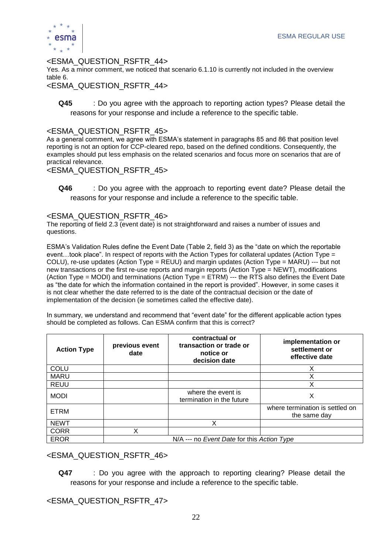

## <ESMA\_QUESTION\_RSFTR\_44>

Yes. As a minor comment, we noticed that scenario 6.1.10 is currently not included in the overview table 6.

<ESMA\_QUESTION\_RSFTR\_44>

**Q45** : Do you agree with the approach to reporting action types? Please detail the reasons for your response and include a reference to the specific table.

## <ESMA\_QUESTION\_RSFTR\_45>

As a general comment, we agree with ESMA's statement in paragraphs 85 and 86 that position level reporting is not an option for CCP-cleared repo, based on the defined conditions. Consequently, the examples should put less emphasis on the related scenarios and focus more on scenarios that are of practical relevance.

<ESMA\_QUESTION\_RSFTR\_45>

**Q46** : Do you agree with the approach to reporting event date? Please detail the reasons for your response and include a reference to the specific table.

## <ESMA\_QUESTION\_RSFTR\_46>

The reporting of field 2.3 (event date) is not straightforward and raises a number of issues and questions.

ESMA's Validation Rules define the Event Date (Table 2, field 3) as the "date on which the reportable event…took place". In respect of reports with the Action Types for collateral updates (Action Type = COLU), re-use updates (Action Type = REUU) and margin updates (Action Type = MARU) --- but not new transactions or the first re-use reports and margin reports (Action Type = NEWT), modifications (Action Type = MODI) and terminations (Action Type = ETRM) --- the RTS also defines the Event Date as "the date for which the information contained in the report is provided". However, in some cases it is not clear whether the date referred to is the date of the contractual decision or the date of implementation of the decision (ie sometimes called the effective date).

In summary, we understand and recommend that "event date" for the different applicable action types should be completed as follows. Can ESMA confirm that this is correct?

| <b>Action Type</b> | previous event<br>date                     | contractual or<br>transaction or trade or<br>notice or<br>decision date | implementation or<br>settlement or<br>effective date |  |  |
|--------------------|--------------------------------------------|-------------------------------------------------------------------------|------------------------------------------------------|--|--|
| <b>COLU</b>        |                                            |                                                                         | Χ                                                    |  |  |
| <b>MARU</b>        |                                            |                                                                         | Χ                                                    |  |  |
| <b>REUU</b>        |                                            |                                                                         | Χ                                                    |  |  |
| <b>MODI</b>        |                                            | where the event is<br>termination in the future                         | Χ                                                    |  |  |
| <b>ETRM</b>        |                                            |                                                                         | where termination is settled on<br>the same day      |  |  |
| <b>NEWT</b>        |                                            | X                                                                       |                                                      |  |  |
| <b>CORR</b>        |                                            |                                                                         |                                                      |  |  |
| <b>EROR</b>        | N/A --- no Event Date for this Action Type |                                                                         |                                                      |  |  |

## <ESMA\_QUESTION\_RSFTR\_46>

**Q47** : Do you agree with the approach to reporting clearing? Please detail the reasons for your response and include a reference to the specific table.

<ESMA\_QUESTION\_RSFTR\_47>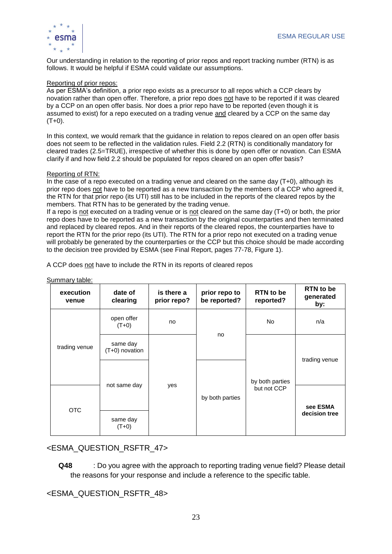

Our understanding in relation to the reporting of prior repos and report tracking number (RTN) is as follows. It would be helpful if ESMA could validate our assumptions.

#### Reporting of prior repos:

As per ESMA's definition, a prior repo exists as a precursor to all repos which a CCP clears by novation rather than open offer. Therefore, a prior repo does not have to be reported if it was cleared by a CCP on an open offer basis. Nor does a prior repo have to be reported (even though it is assumed to exist) for a repo executed on a trading venue and cleared by a CCP on the same day  $(T+0)$ .

In this context, we would remark that the guidance in relation to repos cleared on an open offer basis does not seem to be reflected in the validation rules. Field 2.2 (RTN) is conditionally mandatory for cleared trades (2.5=TRUE), irrespective of whether this is done by open offer or novation. Can ESMA clarify if and how field 2.2 should be populated for repos cleared on an open offer basis?

#### Reporting of RTN:

In the case of a repo executed on a trading venue and cleared on the same day (T+0), although its prior repo does not have to be reported as a new transaction by the members of a CCP who agreed it, the RTN for that prior repo (its UTI) still has to be included in the reports of the cleared repos by the members. That RTN has to be generated by the trading venue.

If a repo is not executed on a trading venue or is not cleared on the same day  $(T+0)$  or both, the prior repo does have to be reported as a new transaction by the original counterparties and then terminated and replaced by cleared repos. And in their reports of the cleared repos, the counterparties have to report the RTN for the prior repo (its UTI). The RTN for a prior repo not executed on a trading venue will probably be generated by the counterparties or the CCP but this choice should be made according to the decision tree provided by ESMA (see Final Report, pages 77-78, Figure 1).

A CCP does not have to include the RTN in its reports of cleared repos

| execution<br>venue | date of<br>clearing        | is there a<br>prior repo? | prior repo to<br>be reported? | RTN to be<br>reported?         | RTN to be<br>generated<br>by: |
|--------------------|----------------------------|---------------------------|-------------------------------|--------------------------------|-------------------------------|
| trading venue      | open offer<br>$(T+0)$      | no                        | no                            | <b>No</b>                      | n/a                           |
|                    | same day<br>(T+0) novation | yes                       |                               | by both parties<br>but not CCP | trading venue                 |
|                    | not same day               |                           | by both parties               |                                |                               |
| <b>OTC</b>         |                            |                           |                               |                                | see ESMA<br>decision tree     |
|                    | same day<br>$(T+0)$        |                           |                               |                                |                               |

Summary table:

## <ESMA\_QUESTION\_RSFTR\_47>

**Q48** : Do you agree with the approach to reporting trading venue field? Please detail the reasons for your response and include a reference to the specific table.

<ESMA\_QUESTION\_RSFTR\_48>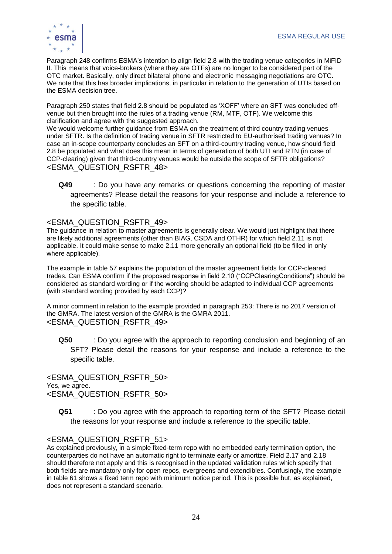

Paragraph 248 confirms ESMA's intention to align field 2.8 with the trading venue categories in MiFID II. This means that voice-brokers (where they are OTFs) are no longer to be considered part of the OTC market. Basically, only direct bilateral phone and electronic messaging negotiations are OTC. We note that this has broader implications, in particular in relation to the generation of UTIs based on the ESMA decision tree.

Paragraph 250 states that field 2.8 should be populated as 'XOFF' where an SFT was concluded offvenue but then brought into the rules of a trading venue (RM, MTF, OTF). We welcome this clarification and agree with the suggested approach.

We would welcome further guidance from ESMA on the treatment of third country trading venues under SFTR. Is the definition of trading venue in SFTR restricted to EU-authorised trading venues? In case an in-scope counterparty concludes an SFT on a third-country trading venue, how should field 2.8 be populated and what does this mean in terms of generation of both UTI and RTN (in case of CCP-clearing) given that third-country venues would be outside the scope of SFTR obligations? <ESMA\_QUESTION\_RSFTR\_48>

**Q49** : Do you have any remarks or questions concerning the reporting of master agreements? Please detail the reasons for your response and include a reference to the specific table.

## <ESMA\_QUESTION\_RSFTR\_49>

The guidance in relation to master agreements is generally clear. We would just highlight that there are likely additional agreements (other than BIAG, CSDA and OTHR) for which field 2.11 is not applicable. It could make sense to make 2.11 more generally an optional field (to be filled in only where applicable).

The example in table 57 explains the population of the master agreement fields for CCP-cleared trades. Can ESMA confirm if the proposed response in field 2.10 ("CCPClearingConditions") should be considered as standard wording or if the wording should be adapted to individual CCP agreements (with standard wording provided by each CCP)?

A minor comment in relation to the example provided in paragraph 253: There is no 2017 version of the GMRA. The latest version of the GMRA is the GMRA 2011. <ESMA\_QUESTION\_RSFTR\_49>

**Q50** : Do you agree with the approach to reporting conclusion and beginning of an SFT? Please detail the reasons for your response and include a reference to the specific table.

<ESMA\_QUESTION\_RSFTR\_50> Yes, we agree. <ESMA\_QUESTION\_RSFTR\_50>

**Q51** : Do you agree with the approach to reporting term of the SFT? Please detail the reasons for your response and include a reference to the specific table.

## <ESMA\_QUESTION\_RSFTR\_51>

As explained previously, in a simple fixed-term repo with no embedded early termination option, the counterparties do not have an automatic right to terminate early or amortize. Field 2.17 and 2.18 should therefore not apply and this is recognised in the updated validation rules which specify that both fields are mandatory only for open repos, evergreens and extendibles. Confusingly, the example in table 61 shows a fixed term repo with minimum notice period. This is possible but, as explained, does not represent a standard scenario.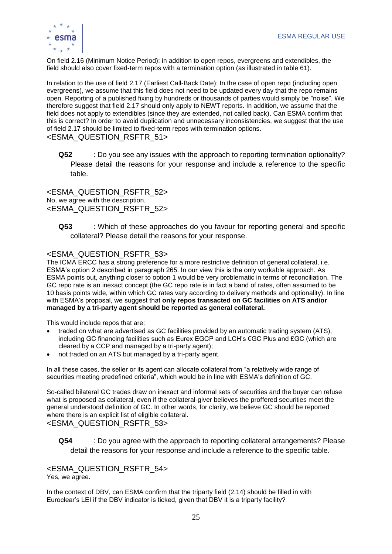

On field 2.16 (Minimum Notice Period): in addition to open repos, evergreens and extendibles, the field should also cover fixed-term repos with a termination option (as illustrated in table 61).

In relation to the use of field 2.17 (Earliest Call-Back Date): In the case of open repo (including open evergreens), we assume that this field does not need to be updated every day that the repo remains open. Reporting of a published fixing by hundreds or thousands of parties would simply be "noise". We therefore suggest that field 2.17 should only apply to NEWT reports. In addition, we assume that the field does not apply to extendibles (since they are extended, not called back). Can ESMA confirm that this is correct? In order to avoid duplication and unnecessary inconsistencies, we suggest that the use of field 2.17 should be limited to fixed-term repos with termination options. <ESMA\_QUESTION\_RSFTR\_51>

**Q52** : Do you see any issues with the approach to reporting termination optionality? Please detail the reasons for your response and include a reference to the specific table.

<ESMA\_QUESTION\_RSFTR\_52> No, we agree with the description. <ESMA\_QUESTION\_RSFTR\_52>

**Q53** : Which of these approaches do you favour for reporting general and specific collateral? Please detail the reasons for your response.

## <ESMA\_QUESTION\_RSFTR\_53>

The ICMA ERCC has a strong preference for a more restrictive definition of general collateral, i.e. ESMA's option 2 described in paragraph 265. In our view this is the only workable approach. As ESMA points out, anything closer to option 1 would be very problematic in terms of reconciliation. The GC repo rate is an inexact concept (the GC repo rate is in fact a band of rates, often assumed to be 10 basis points wide, within which GC rates vary according to delivery methods and optionality). In line with ESMA's proposal, we suggest that **only repos transacted on GC facilities on ATS and/or managed by a tri-party agent should be reported as general collateral.** 

This would include repos that are:

- traded on what are advertised as GC facilities provided by an automatic trading system (ATS), including GC financing facilities such as Eurex EGCP and LCH's €GC Plus and £GC (which are cleared by a CCP and managed by a tri-party agent);
- not traded on an ATS but managed by a tri-party agent.

In all these cases, the seller or its agent can allocate collateral from "a relatively wide range of securities meeting predefined criteria", which would be in line with ESMA's definition of GC.

So-called bilateral GC trades draw on inexact and informal sets of securities and the buyer can refuse what is proposed as collateral, even if the collateral-giver believes the proffered securities meet the general understood definition of GC. In other words, for clarity, we believe GC should be reported where there is an explicit list of eligible collateral. <ESMA\_QUESTION\_RSFTR\_53>

**Q54** : Do you agree with the approach to reporting collateral arrangements? Please detail the reasons for your response and include a reference to the specific table.

<ESMA\_QUESTION\_RSFTR\_54> Yes, we agree.

In the context of DBV, can ESMA confirm that the triparty field (2.14) should be filled in with Euroclear's LEI if the DBV indicator is ticked, given that DBV it is a triparty facility?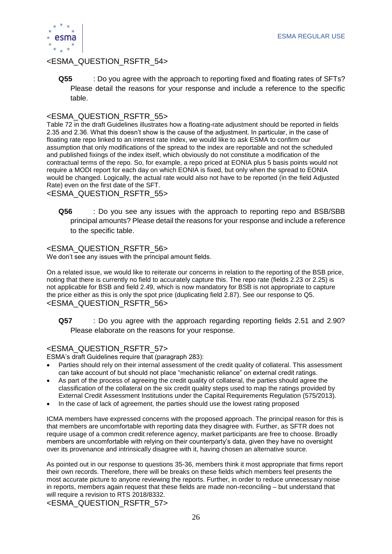

## <ESMA\_QUESTION\_RSFTR\_54>

**Q55** : Do you agree with the approach to reporting fixed and floating rates of SFTs? Please detail the reasons for your response and include a reference to the specific table.

## <ESMA\_QUESTION\_RSFTR\_55>

Table 72 in the draft Guidelines illustrates how a floating-rate adjustment should be reported in fields 2.35 and 2.36. What this doesn't show is the cause of the adjustment. In particular, in the case of floating rate repo linked to an interest rate index, we would like to ask ESMA to confirm our assumption that only modifications of the spread to the index are reportable and not the scheduled and published fixings of the index itself, which obviously do not constitute a modification of the contractual terms of the repo. So, for example, a repo priced at EONIA plus 5 basis points would not require a MODI report for each day on which EONIA is fixed, but only when the spread to EONIA would be changed. Logically, the actual rate would also not have to be reported (in the field Adjusted Rate) even on the first date of the SFT.

<ESMA\_QUESTION\_RSFTR\_55>

**Q56** : Do you see any issues with the approach to reporting repo and BSB/SBB principal amounts? Please detail the reasons for your response and include a reference to the specific table.

## <ESMA\_QUESTION\_RSFTR\_56>

We don't see any issues with the principal amount fields.

On a related issue, we would like to reiterate our concerns in relation to the reporting of the BSB price, noting that there is currently no field to accurately capture this. The repo rate (fields 2.23 or 2.25) is not applicable for BSB and field 2.49, which is now mandatory for BSB is not appropriate to capture the price either as this is only the spot price (duplicating field 2.87). See our response to Q5. <ESMA\_QUESTION\_RSFTR\_56>

**Q57** : Do you agree with the approach regarding reporting fields 2.51 and 2.90? Please elaborate on the reasons for your response.

## <ESMA\_QUESTION\_RSFTR\_57>

ESMA's draft Guidelines require that (paragraph 283):

- Parties should rely on their internal assessment of the credit quality of collateral. This assessment can take account of but should not place "mechanistic reliance" on external credit ratings.
- As part of the process of agreeing the credit quality of collateral, the parties should agree the classification of the collateral on the six credit quality steps used to map the ratings provided by External Credit Assessment Institutions under the Capital Requirements Regulation (575/2013).
- In the case of lack of agreement, the parties should use the lowest rating proposed

ICMA members have expressed concerns with the proposed approach. The principal reason for this is that members are uncomfortable with reporting data they disagree with. Further, as SFTR does not require usage of a common credit reference agency, market participants are free to choose. Broadly members are uncomfortable with relying on their counterparty's data, given they have no oversight over its provenance and intrinsically disagree with it, having chosen an alternative source.

As pointed out in our response to questions 35-36, members think it most appropriate that firms report their own records. Therefore, there will be breaks on these fields which members feel presents the most accurate picture to anyone reviewing the reports. Further, in order to reduce unnecessary noise in reports, members again request that these fields are made non-reconciling – but understand that will require a revision to RTS 2018/8332.

<ESMA\_QUESTION\_RSFTR\_57>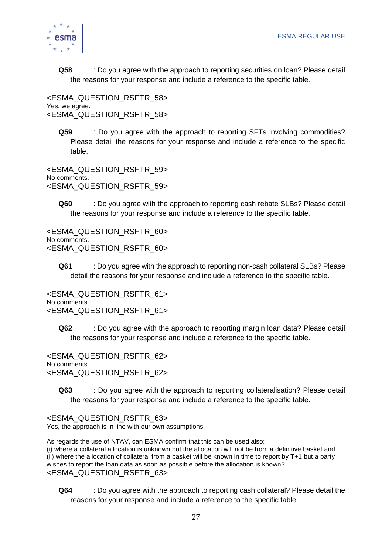

**Q58** : Do you agree with the approach to reporting securities on loan? Please detail the reasons for your response and include a reference to the specific table.

<ESMA\_QUESTION\_RSFTR\_58> Yes, we agree. <ESMA\_QUESTION\_RSFTR\_58>

**Q59** : Do you agree with the approach to reporting SFTs involving commodities? Please detail the reasons for your response and include a reference to the specific table.

<ESMA\_QUESTION\_RSFTR\_59> No comments. <ESMA\_QUESTION\_RSFTR\_59>

**Q60** : Do you agree with the approach to reporting cash rebate SLBs? Please detail the reasons for your response and include a reference to the specific table.

<ESMA\_QUESTION\_RSFTR\_60> No comments. <ESMA\_QUESTION\_RSFTR\_60>

**Q61** : Do you agree with the approach to reporting non-cash collateral SLBs? Please detail the reasons for your response and include a reference to the specific table.

<ESMA\_QUESTION\_RSFTR\_61> No comments. <ESMA\_QUESTION\_RSFTR\_61>

**Q62** : Do you agree with the approach to reporting margin loan data? Please detail the reasons for your response and include a reference to the specific table.

<ESMA\_QUESTION\_RSFTR\_62> No comments. <ESMA\_QUESTION\_RSFTR\_62>

**Q63** : Do you agree with the approach to reporting collateralisation? Please detail the reasons for your response and include a reference to the specific table.

<ESMA\_QUESTION\_RSFTR\_63>

Yes, the approach is in line with our own assumptions.

As regards the use of NTAV, can ESMA confirm that this can be used also:

(i) where a collateral allocation is unknown but the allocation will not be from a definitive basket and (ii) where the allocation of collateral from a basket will be known in time to report by T+1 but a party wishes to report the loan data as soon as possible before the allocation is known? <ESMA\_QUESTION\_RSFTR\_63>

**Q64** : Do you agree with the approach to reporting cash collateral? Please detail the reasons for your response and include a reference to the specific table.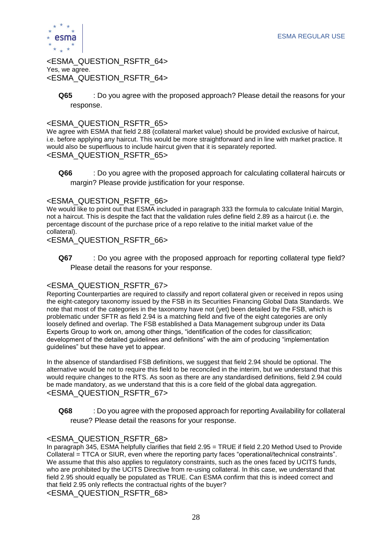

<ESMA\_QUESTION\_RSFTR\_64> Yes, we agree. <ESMA\_QUESTION\_RSFTR\_64>

**Q65** : Do you agree with the proposed approach? Please detail the reasons for your response.

## <ESMA\_QUESTION\_RSFTR\_65>

We agree with ESMA that field 2.88 (collateral market value) should be provided exclusive of haircut, i.e. before applying any haircut. This would be more straightforward and in line with market practice. It would also be superfluous to include haircut given that it is separately reported. <ESMA\_QUESTION\_RSFTR\_65>

**Q66** : Do you agree with the proposed approach for calculating collateral haircuts or margin? Please provide justification for your response.

## <ESMA\_QUESTION\_RSFTR\_66>

We would like to point out that ESMA included in paragraph 333 the formula to calculate Initial Margin, not a haircut. This is despite the fact that the validation rules define field 2.89 as a haircut (i.e. the percentage discount of the purchase price of a repo relative to the initial market value of the collateral).

#### <ESMA\_QUESTION\_RSFTR\_66>

**Q67** : Do you agree with the proposed approach for reporting collateral type field? Please detail the reasons for your response.

## <ESMA\_QUESTION\_RSFTR\_67>

Reporting Counterparties are required to classify and report collateral given or received in repos using the eight-category taxonomy issued by the FSB in its Securities Financing Global Data Standards. We note that most of the categories in the taxonomy have not (yet) been detailed by the FSB, which is problematic under SFTR as field 2.94 is a matching field and five of the eight categories are only loosely defined and overlap. The FSB established a Data Management subgroup under its Data Experts Group to work on, among other things, "identification of the codes for classification; development of the detailed guidelines and definitions" with the aim of producing "implementation guidelines" but these have yet to appear.

In the absence of standardised FSB definitions, we suggest that field 2.94 should be optional. The alternative would be not to require this field to be reconciled in the interim, but we understand that this would require changes to the RTS. As soon as there are any standardised definitions, field 2.94 could be made mandatory, as we understand that this is a core field of the global data aggregation. <ESMA\_QUESTION\_RSFTR\_67>

**Q68** : Do you agree with the proposed approach for reporting Availability for collateral reuse? Please detail the reasons for your response.

## <ESMA\_QUESTION\_RSFTR\_68>

In paragraph 345, ESMA helpfully clarifies that field 2.95 = TRUE if field 2.20 Method Used to Provide Collateral = TTCA or SIUR, even where the reporting party faces "operational/technical constraints". We assume that this also applies to regulatory constraints, such as the ones faced by UCITS funds, who are prohibited by the UCITS Directive from re-using collateral. In this case, we understand that field 2.95 should equally be populated as TRUE. Can ESMA confirm that this is indeed correct and that field 2.95 only reflects the contractual rights of the buyer? <ESMA\_QUESTION\_RSFTR\_68>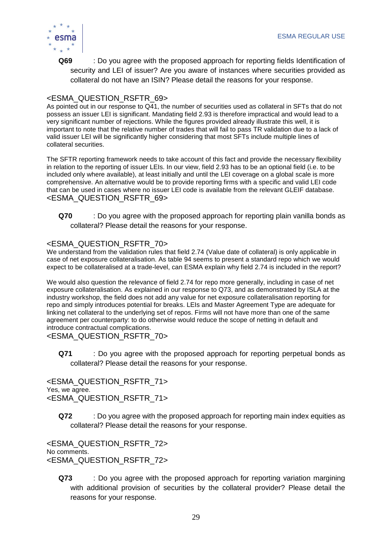

**Q69** : Do you agree with the proposed approach for reporting fields Identification of security and LEI of issuer? Are you aware of instances where securities provided as collateral do not have an ISIN? Please detail the reasons for your response.

## <ESMA\_QUESTION\_RSFTR\_69>

As pointed out in our response to Q41, the number of securities used as collateral in SFTs that do not possess an issuer LEI is significant. Mandating field 2.93 is therefore impractical and would lead to a very significant number of rejections. While the figures provided already illustrate this well, it is important to note that the relative number of trades that will fail to pass TR validation due to a lack of valid issuer LEI will be significantly higher considering that most SFTs include multiple lines of collateral securities.

The SFTR reporting framework needs to take account of this fact and provide the necessary flexibility in relation to the reporting of issuer LEIs. In our view, field 2.93 has to be an optional field (i.e. to be included only where available), at least initially and until the LEI coverage on a global scale is more comprehensive. An alternative would be to provide reporting firms with a specific and valid LEI code that can be used in cases where no issuer LEI code is available from the relevant GLEIF database. <ESMA\_QUESTION\_RSFTR\_69>

**Q70** : Do you agree with the proposed approach for reporting plain vanilla bonds as collateral? Please detail the reasons for your response.

## <ESMA\_QUESTION\_RSFTR\_70>

We understand from the validation rules that field 2.74 (Value date of collateral) is only applicable in case of net exposure collateralisation. As table 94 seems to present a standard repo which we would expect to be collateralised at a trade-level, can ESMA explain why field 2.74 is included in the report?

We would also question the relevance of field 2.74 for repo more generally, including in case of net exposure collateralisation. As explained in our response to Q73, and as demonstrated by ISLA at the industry workshop, the field does not add any value for net exposure collateralisation reporting for repo and simply introduces potential for breaks. LEIs and Master Agreement Type are adequate for linking net collateral to the underlying set of repos. Firms will not have more than one of the same agreement per counterparty: to do otherwise would reduce the scope of netting in default and introduce contractual complications.

<ESMA\_QUESTION\_RSFTR\_70>

**Q71** : Do you agree with the proposed approach for reporting perpetual bonds as collateral? Please detail the reasons for your response.

<ESMA\_QUESTION\_RSFTR\_71> Yes, we agree. <ESMA\_QUESTION\_RSFTR\_71>

**Q72** : Do you agree with the proposed approach for reporting main index equities as collateral? Please detail the reasons for your response.

<ESMA\_QUESTION\_RSFTR\_72> No comments. <ESMA\_QUESTION\_RSFTR\_72>

**Q73** : Do you agree with the proposed approach for reporting variation margining with additional provision of securities by the collateral provider? Please detail the reasons for your response.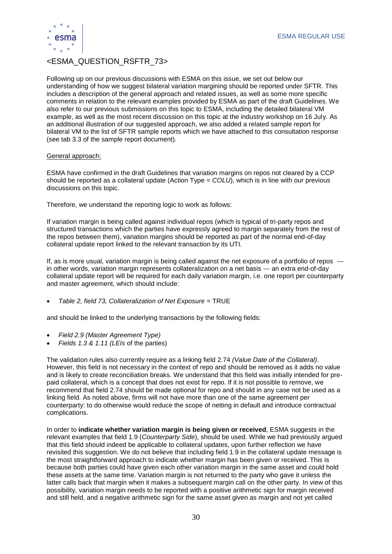

## <ESMA\_QUESTION\_RSFTR\_73>

Following up on our previous discussions with ESMA on this issue, we set out below our understanding of how we suggest bilateral variation margining should be reported under SFTR. This includes a description of the general approach and related issues, as well as some more specific comments in relation to the relevant examples provided by ESMA as part of the draft Guidelines. We also refer to our previous submissions on this topic to ESMA, including the detailed bilateral VM example, as well as the most recent discussion on this topic at the industry workshop on 16 July. As an additional illustration of our suggested approach, we also added a related sample report for bilateral VM to the list of SFTR sample reports which we have attached to this consultation response (see tab 3.3 of the sample report document).

#### General approach:

ESMA have confirmed in the draft Guidelines that variation margins on repos not cleared by a CCP should be reported as a collateral update (Action Type = *COLU*), which is in line with our previous discussions on this topic.

Therefore, we understand the reporting logic to work as follows:

If variation margin is being called against individual repos (which is typical of tri-party repos and structured transactions which the parties have expressly agreed to margin separately from the rest of the repos between them), variation margins should be reported as part of the normal end-of-day collateral update report linked to the relevant transaction by its UTI.

If, as is more usual, variation margin is being called against the net exposure of a portfolio of repos -- in other words, variation margin represents collateralization on a net basis --- an extra end-of-day collateral update report will be required for each daily variation margin, i.e. one report per counterparty and master agreement, which should include:

• *Table 2, field 73, Collateralization of Net Exposure* = TRUE

and should be linked to the underlying transactions by the following fields:

- *Field 2.9 (Master Agreement Type)*
- *Fields 1.3 & 1.11 (LEIs* of the parties)

The validation rules also currently require as a linking field 2.74 *(Value Date of the Collateral)*. However, this field is not necessary in the context of repo and should be removed as it adds no value and is likely to create reconciliation breaks. We understand that this field was initially intended for prepaid collateral, which is a concept that does not exist for repo. If it is not possible to remove, we recommend that field 2.74 should be made optional for repo and should in any case not be used as a linking field. As noted above, firms will not have more than one of the same agreement per counterparty: to do otherwise would reduce the scope of netting in default and introduce contractual complications.

In order to **indicate whether variation margin is being given or received**, ESMA suggests in the relevant examples that field 1.9 (*Counterparty Side*), should be used. While we had previously argued that this field should indeed be applicable to collateral updates, upon further reflection we have revisited this suggestion. We do not believe that including field 1.9 in the collateral update message is the most straightforward approach to indicate whether margin has been given or received. This is because both parties could have given each other variation margin in the same asset and could hold these assets at the same time. Variation margin is not returned to the party who gave it unless the latter calls back that margin when it makes a subsequent margin call on the other party. In view of this possibility, variation margin needs to be reported with a positive arithmetic sign for margin received and still held, and a negative arithmetic sign for the same asset given as margin and not yet called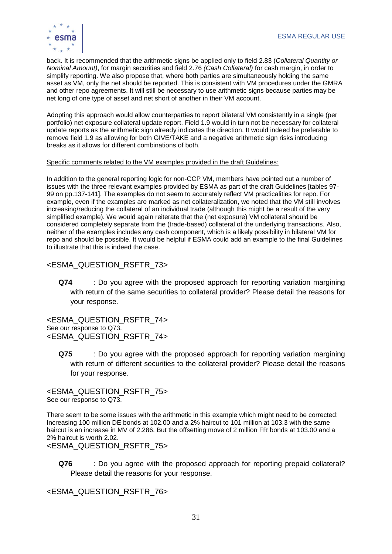

back. It is recommended that the arithmetic signs be applied only to field 2.83 (*Collateral Quantity or Nominal Amount)*, for margin securities and field 2.76 *(Cash Collateral)* for cash margin, in order to simplify reporting. We also propose that, where both parties are simultaneously holding the same asset as VM, only the net should be reported. This is consistent with VM procedures under the GMRA and other repo agreements. It will still be necessary to use arithmetic signs because parties may be net long of one type of asset and net short of another in their VM account.

Adopting this approach would allow counterparties to report bilateral VM consistently in a single (per portfolio) net exposure collateral update report. Field 1.9 would in turn not be necessary for collateral update reports as the arithmetic sign already indicates the direction. It would indeed be preferable to remove field 1.9 as allowing for both GIVE/TAKE and a negative arithmetic sign risks introducing breaks as it allows for different combinations of both.

#### Specific comments related to the VM examples provided in the draft Guidelines:

In addition to the general reporting logic for non-CCP VM, members have pointed out a number of issues with the three relevant examples provided by ESMA as part of the draft Guidelines [tables 97-99 on pp.137-141]. The examples do not seem to accurately reflect VM practicalities for repo. For example, even if the examples are marked as net collateralization, we noted that the VM still involves increasing/reducing the collateral of an individual trade (although this might be a result of the very simplified example). We would again reiterate that the (net exposure) VM collateral should be considered completely separate from the (trade-based) collateral of the underlying transactions. Also, neither of the examples includes any cash component, which is a likely possibility in bilateral VM for repo and should be possible. It would be helpful if ESMA could add an example to the final Guidelines to illustrate that this is indeed the case.

## <ESMA\_QUESTION\_RSFTR\_73>

**Q74** : Do you agree with the proposed approach for reporting variation margining with return of the same securities to collateral provider? Please detail the reasons for your response.

<ESMA\_QUESTION\_RSFTR\_74> See our response to Q73. <ESMA\_QUESTION\_RSFTR\_74>

**Q75** : Do you agree with the proposed approach for reporting variation margining with return of different securities to the collateral provider? Please detail the reasons for your response.

<ESMA\_QUESTION\_RSFTR\_75> See our response to Q73.

There seem to be some issues with the arithmetic in this example which might need to be corrected: Increasing 100 million DE bonds at 102.00 and a 2% haircut to 101 million at 103.3 with the same haircut is an increase in MV of 2.286. But the offsetting move of 2 million FR bonds at 103.00 and a 2% haircut is worth 2.02.

<ESMA\_QUESTION\_RSFTR\_75>

**Q76** : Do you agree with the proposed approach for reporting prepaid collateral? Please detail the reasons for your response.

<ESMA\_QUESTION\_RSFTR\_76>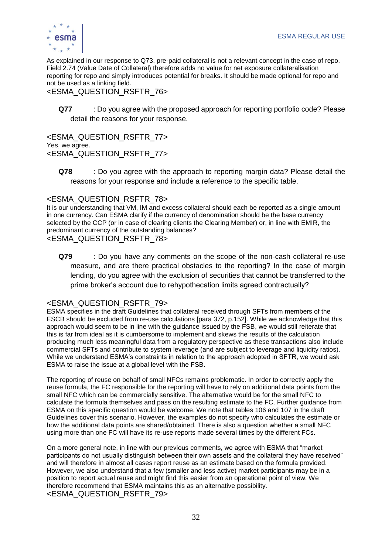

As explained in our response to Q73, pre-paid collateral is not a relevant concept in the case of repo. Field 2.74 (Value Date of Collateral) therefore adds no value for net exposure collateralisation reporting for repo and simply introduces potential for breaks. It should be made optional for repo and not be used as a linking field.

## <ESMA\_QUESTION\_RSFTR\_76>

**Q77** : Do you agree with the proposed approach for reporting portfolio code? Please detail the reasons for your response.

<ESMA\_QUESTION\_RSFTR\_77> Yes, we agree. <ESMA\_QUESTION\_RSFTR\_77>

**Q78** : Do you agree with the approach to reporting margin data? Please detail the reasons for your response and include a reference to the specific table.

#### <ESMA\_QUESTION\_RSFTR\_78>

It is our understanding that VM, IM and excess collateral should each be reported as a single amount in one currency. Can ESMA clarify if the currency of denomination should be the base currency selected by the CCP (or in case of clearing clients the Clearing Member) or, in line with EMIR, the predominant currency of the outstanding balances?

<ESMA\_QUESTION\_RSFTR\_78>

**Q79** : Do you have any comments on the scope of the non-cash collateral re-use measure, and are there practical obstacles to the reporting? In the case of margin lending, do you agree with the exclusion of securities that cannot be transferred to the prime broker's account due to rehypothecation limits agreed contractually?

## <ESMA\_QUESTION\_RSFTR\_79>

ESMA specifies in the draft Guidelines that collateral received through SFTs from members of the ESCB should be excluded from re-use calculations [para 372, p.152]. While we acknowledge that this approach would seem to be in line with the guidance issued by the FSB, we would still reiterate that this is far from ideal as it is cumbersome to implement and skews the results of the calculation producing much less meaningful data from a regulatory perspective as these transactions also include commercial SFTs and contribute to system leverage (and are subject to leverage and liquidity ratios). While we understand ESMA's constraints in relation to the approach adopted in SFTR, we would ask ESMA to raise the issue at a global level with the FSB.

The reporting of reuse on behalf of small NFCs remains problematic. In order to correctly apply the reuse formula, the FC responsible for the reporting will have to rely on additional data points from the small NFC which can be commercially sensitive. The alternative would be for the small NFC to calculate the formula themselves and pass on the resulting estimate to the FC. Further guidance from ESMA on this specific question would be welcome. We note that tables 106 and 107 in the draft Guidelines cover this scenario. However, the examples do not specify who calculates the estimate or how the additional data points are shared/obtained. There is also a question whether a small NFC using more than one FC will have its re-use reports made several times by the different FCs.

On a more general note, in line with our previous comments, we agree with ESMA that "market participants do not usually distinguish between their own assets and the collateral they have received" and will therefore in almost all cases report reuse as an estimate based on the formula provided. However, we also understand that a few (smaller and less active) market participants may be in a position to report actual reuse and might find this easier from an operational point of view. We therefore recommend that ESMA maintains this as an alternative possibility. <ESMA\_QUESTION\_RSFTR\_79>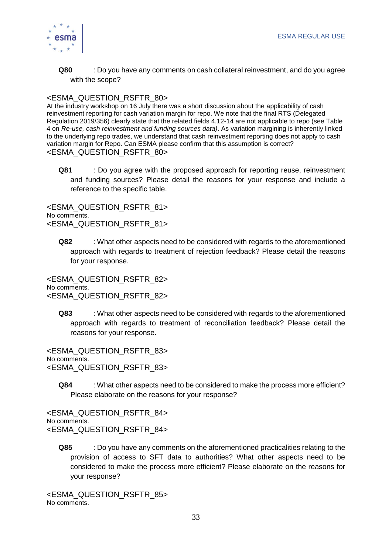

**Q80** : Do you have any comments on cash collateral reinvestment, and do you agree with the scope?

## <ESMA\_QUESTION\_RSFTR\_80>

At the industry workshop on 16 July there was a short discussion about the applicability of cash reinvestment reporting for cash variation margin for repo. We note that the final RTS (Delegated Regulation 2019/356) clearly state that the related fields 4.12-14 are not applicable to repo (see Table 4 on *Re-use, cash reinvestment and funding sources data)*. As variation margining is inherently linked to the underlying repo trades, we understand that cash reinvestment reporting does not apply to cash variation margin for Repo. Can ESMA please confirm that this assumption is correct? <ESMA\_QUESTION\_RSFTR\_80>

**Q81** : Do you agree with the proposed approach for reporting reuse, reinvestment and funding sources? Please detail the reasons for your response and include a reference to the specific table.

<ESMA\_QUESTION\_RSFTR\_81> No comments. <ESMA\_QUESTION\_RSFTR\_81>

**Q82** : What other aspects need to be considered with regards to the aforementioned approach with regards to treatment of rejection feedback? Please detail the reasons for your response.

<ESMA\_QUESTION\_RSFTR\_82> No comments. <ESMA\_QUESTION\_RSFTR\_82>

**Q83** : What other aspects need to be considered with regards to the aforementioned approach with regards to treatment of reconciliation feedback? Please detail the reasons for your response.

<ESMA\_QUESTION\_RSFTR\_83> No comments. <ESMA\_QUESTION\_RSFTR\_83>

**Q84** : What other aspects need to be considered to make the process more efficient? Please elaborate on the reasons for your response?

<ESMA\_QUESTION\_RSFTR\_84> No comments. <ESMA\_QUESTION\_RSFTR\_84>

**Q85** : Do you have any comments on the aforementioned practicalities relating to the provision of access to SFT data to authorities? What other aspects need to be considered to make the process more efficient? Please elaborate on the reasons for your response?

<ESMA\_QUESTION\_RSFTR\_85> No comments.